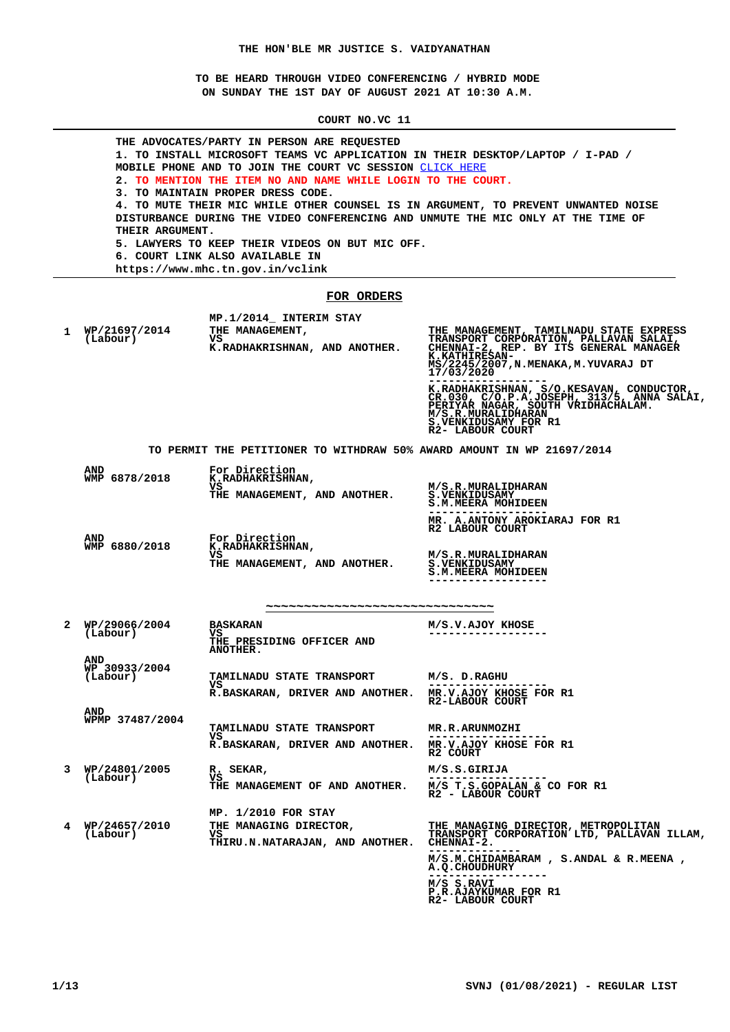**TO BE HEARD THROUGH VIDEO CONFERENCING / HYBRID MODE ON SUNDAY THE 1ST DAY OF AUGUST 2021 AT 10:30 A.M.**

**COURT NO.VC 11**

|   | THE ADVOCATES/PARTY IN PERSON ARE REQUESTED<br>1. TO INSTALL MICROSOFT TEAMS VC APPLICATION IN THEIR DESKTOP/LAPTOP / I-PAD /<br>MOBILE PHONE AND TO JOIN THE COURT VC SESSION CLICK HERE<br>2. TO MENTION THE ITEM NO AND NAME WHILE LOGIN TO THE COURT.<br>3. TO MAINTAIN PROPER DRESS CODE.<br>4. TO MUTE THEIR MIC WHILE OTHER COUNSEL IS IN ARGUMENT, TO PREVENT UNWANTED NOISE<br>DISTURBANCE DURING THE VIDEO CONFERENCING AND UNMUTE THE MIC ONLY AT THE TIME OF<br>THEIR ARGUMENT.<br>5. LAWYERS TO KEEP THEIR VIDEOS ON BUT MIC OFF.<br>6. COURT LINK ALSO AVAILABLE IN<br>https://www.mhc.tn.gov.in/vclink |                                                                                                |                                                                                                                                                                                             |  |
|---|-----------------------------------------------------------------------------------------------------------------------------------------------------------------------------------------------------------------------------------------------------------------------------------------------------------------------------------------------------------------------------------------------------------------------------------------------------------------------------------------------------------------------------------------------------------------------------------------------------------------------|------------------------------------------------------------------------------------------------|---------------------------------------------------------------------------------------------------------------------------------------------------------------------------------------------|--|
|   |                                                                                                                                                                                                                                                                                                                                                                                                                                                                                                                                                                                                                       | FOR ORDERS                                                                                     |                                                                                                                                                                                             |  |
|   |                                                                                                                                                                                                                                                                                                                                                                                                                                                                                                                                                                                                                       | MP.1/2014 INTERIM STAY                                                                         |                                                                                                                                                                                             |  |
| 1 | WP/21697/2014<br>(Labour)                                                                                                                                                                                                                                                                                                                                                                                                                                                                                                                                                                                             | THE MANAGEMENT,<br>vs.<br>K.RADHAKRISHNAN, AND ANOTHER.                                        | THE MANAGEMENT, TAMILNADU STATE EXPRESS<br>MS/2245/2007, N. MENAKA, M. YUVARAJ DT<br>17/03/2020                                                                                             |  |
|   |                                                                                                                                                                                                                                                                                                                                                                                                                                                                                                                                                                                                                       |                                                                                                | K.RADHAKRISHNAN, S/O.KESAVAN, CONDUCTOR, CR.030, C/O.P.A.JOSEPH, 313/5, ANNA SALAI,<br>PERIYAR NAGAR, SOUTH VRIDHACHALAM.<br>M/S.R.MURALIDHARAN<br>S.VENKIDUSAMY FOR R1<br>R2- LABOUR COURT |  |
|   |                                                                                                                                                                                                                                                                                                                                                                                                                                                                                                                                                                                                                       | TO PERMIT THE PETITIONER TO WITHDRAW 50% AWARD AMOUNT IN WP 21697/2014                         |                                                                                                                                                                                             |  |
|   | <b>AND</b>                                                                                                                                                                                                                                                                                                                                                                                                                                                                                                                                                                                                            | For Direction                                                                                  |                                                                                                                                                                                             |  |
|   | WMP 6878/2018                                                                                                                                                                                                                                                                                                                                                                                                                                                                                                                                                                                                         | <b>K.RADHAKRISHNAN,</b><br>vs<br>THE MANAGEMENT, AND ANOTHER.                                  | M/S.R.MURALIDHARAN<br><b>S.VENKIDUSAMY</b><br>S.M.MEERA MOHIDEEN                                                                                                                            |  |
|   |                                                                                                                                                                                                                                                                                                                                                                                                                                                                                                                                                                                                                       |                                                                                                | MR. A.ANTONY AROKIARAJ FOR R1<br>R2 LABOUR COURT                                                                                                                                            |  |
|   | <b>AND</b><br>WMP 6880/2018                                                                                                                                                                                                                                                                                                                                                                                                                                                                                                                                                                                           | For Direction<br>K.RADHAKRISHNAN,<br>vs.<br>THE MANAGEMENT, AND ANOTHER.                       | M/S.R.MURALIDHARAN<br><b>S.VENKIDUSAMY</b><br><b>S.M.MEERA MOHIDEEN</b>                                                                                                                     |  |
|   |                                                                                                                                                                                                                                                                                                                                                                                                                                                                                                                                                                                                                       |                                                                                                |                                                                                                                                                                                             |  |
|   |                                                                                                                                                                                                                                                                                                                                                                                                                                                                                                                                                                                                                       | ********************************                                                               |                                                                                                                                                                                             |  |
| 2 | WP/29066/2004<br>(Labour)                                                                                                                                                                                                                                                                                                                                                                                                                                                                                                                                                                                             | <b>BASKARAN</b><br>vs<br>THE PRESIDING OFFICER AND<br><b>ANOTHER.</b>                          | M/S.V.AJOY KHOSE                                                                                                                                                                            |  |
|   | <b>AND</b><br>WP 30933/2004<br>(Labour)                                                                                                                                                                                                                                                                                                                                                                                                                                                                                                                                                                               | TAMILNADU STATE TRANSPORT                                                                      | M/S. D.RAGHU                                                                                                                                                                                |  |
|   |                                                                                                                                                                                                                                                                                                                                                                                                                                                                                                                                                                                                                       | vs<br>R.BASKARAN, DRIVER AND ANOTHER.                                                          | ----------------<br>MR.V.AJOY KHOSE FOR R1                                                                                                                                                  |  |
|   | <b>AND</b>                                                                                                                                                                                                                                                                                                                                                                                                                                                                                                                                                                                                            |                                                                                                | R2-LABOUR COURT                                                                                                                                                                             |  |
|   | WPMP 37487/2004                                                                                                                                                                                                                                                                                                                                                                                                                                                                                                                                                                                                       | TAMILNADU STATE TRANSPORT                                                                      | <b>MR.R.ARUNMOZHI</b>                                                                                                                                                                       |  |
|   |                                                                                                                                                                                                                                                                                                                                                                                                                                                                                                                                                                                                                       | VS.<br>R.BASKARAN, DRIVER AND ANOTHER.                                                         | MR.V.AJOY KHOSE FOR R1<br>R2 COURT                                                                                                                                                          |  |
| 3 | WP/24801/2005<br>(Labour)                                                                                                                                                                                                                                                                                                                                                                                                                                                                                                                                                                                             | R. SEKAR,<br>vs                                                                                | M/S.S.GIRIJA<br>-------                                                                                                                                                                     |  |
|   |                                                                                                                                                                                                                                                                                                                                                                                                                                                                                                                                                                                                                       | THE MANAGEMENT OF AND ANOTHER.                                                                 | M/S T.S.GOPALAN & CO FOR R1<br>R2 - LABOUR COURT                                                                                                                                            |  |
| 4 | WP/24657/2010<br>(Labour)                                                                                                                                                                                                                                                                                                                                                                                                                                                                                                                                                                                             | MP. 1/2010 FOR STAY<br>THE MANAGING DIRECTOR,<br>VS.<br><b>THIRU.N.NATARAJAN, AND ANOTHER.</b> | THE MANAGING DIRECTOR, METROPOLITAN<br>TRANSPORT CORPORATION LTD, PALLAVAN ILLAM,<br>CHENNAI-2.                                                                                             |  |
|   |                                                                                                                                                                                                                                                                                                                                                                                                                                                                                                                                                                                                                       |                                                                                                | M/S.M.CHIDAMBARAM, S.ANDAL & R.MEENA,<br><b>A.Q.CHOUDHURY</b><br>M/S S.RAVI<br>P.R.AJAYKUMAR FOR R1<br>R2- LABOUR COURT                                                                     |  |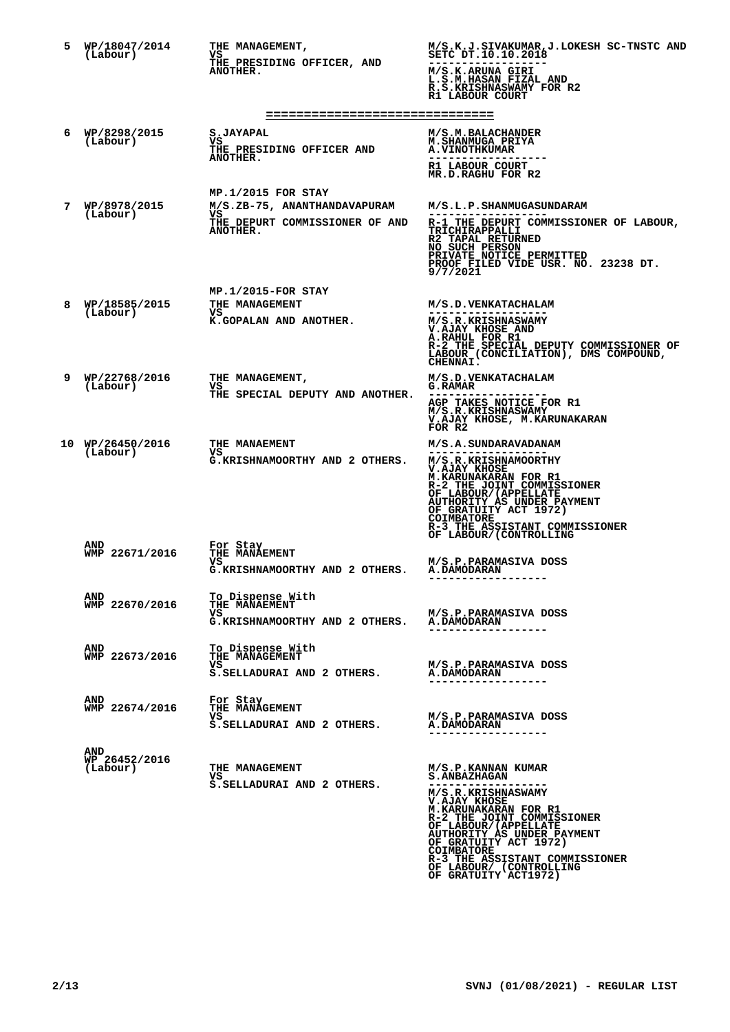| 5 | WP/18047/2014<br>(Labour)               | THE MANAGEMENT,<br>VS<br>THE PRESIDING OFFICER, AND<br>ANOTHER.                                          | M/S.K.J.SIVAKUMAR, J.LOKESH SC-TNSTC AND<br>SETC DT.10.10.2018<br>M/S.K.ARUNA GIRI<br>L.S.M.HASAN FIZAL AND<br>R.S.KRISHNASWAMY FOR R2<br>R1 LABOUR COURT                                                                                                                                |
|---|-----------------------------------------|----------------------------------------------------------------------------------------------------------|------------------------------------------------------------------------------------------------------------------------------------------------------------------------------------------------------------------------------------------------------------------------------------------|
| 6 | WP/8298/2015<br>(Labour)                | ===============================<br>S.JAYAPAL<br>VS<br>THE PRESIDING OFFICER AND<br>ANOTHER.              | M/S.M.BALACHANDER<br><b>M.SHANMUGA PRIYA</b><br><b>A.VINOTHKUMAR</b><br>R1 LABOUR COURT<br>MR.D.RAGHU FOR R2                                                                                                                                                                             |
| 7 | WP/8978/2015<br>(Labour)                | $MP.1/2015$ FOR STAY<br>M/S.ZB-75, ANANTHANDAVAPURAM<br>VS<br>THE DEPURT COMMISSIONER OF AND<br>ANOTHER. | M/S.L.P.SHANMUGASUNDARAM<br>R-1 THE DEPURT COMMISSIONER OF LABOUR,<br>TRICHIRAPPALLI<br>R2 TAPAL RETURNED<br>NO SUCH PERSON<br>PRIVATE NOTICE PERMITTED<br>PROOF FILED VIDE USR. NO. 23238 DT.<br>9/7/2021                                                                               |
| 8 | WP/18585/2015<br>(Labour)               | MP.1/2015-FOR STAY<br>THE MANAGEMENT<br>VS<br>K.GOPALAN AND ANOTHER.                                     | M/S.D.VENKATACHALAM<br>.<br>M/S.R.KRISHNASWAMY<br>V.AJAY KHOSE AND<br>A.RAHUL FOR R1<br>R-2 THE SPECIAL DEPUTY COMMISSIONER OF<br>LABOUR (CONCILIATION), DMS COMPOUND,<br>CHENNAI.                                                                                                       |
| 9 | WP/22768/2016<br>(Labour)               | THE MANAGEMENT,<br>VS<br>THE SPECIAL DEPUTY AND ANOTHER.                                                 | M/S.D. VENKATACHALAM<br><b>G.RAMAR</b><br>AGP TAKES NOTICE FOR R1<br>M/S.R.KRISHNASWAMY<br>V.AJAY KHOSE, M.KARUNAKARAN<br>FOR R2                                                                                                                                                         |
|   | 10 WP/26450/2016<br>(Labour)            | THE MANAEMENT<br>VS<br>G.KRISHNAMOORTHY AND 2 OTHERS.                                                    | M/S.A.SUNDARAVADANAM<br>.<br>M/S.R.KRISHNAMOORTHY<br>V.AJAY KHOSE<br>M. KARUNAKARAN FOR R1<br>R-2 THE JOINT COMMISSIONER<br>OF LABOUR/(APPELLATE<br>AUTHORITY AS UNDER PAYMENT<br>OF GRATUITY ACT 1972)<br><b>COIMBATORE</b><br>R-3 THE ASSISTANT COMMISSIONER<br>OF LABOUR/(CONTROLLING |
|   | <b>AND</b><br>WMP 22671/2016            | For Stay<br>THE MANAEMENT<br>vs<br>G.KRISHNAMOORTHY AND 2 OTHERS.                                        | M/S.P.PARAMASIVA DOSS<br><b>A.DAMODARAN</b>                                                                                                                                                                                                                                              |
|   | AND<br>WMP 22670/2016                   | To Dispense With<br>THE MANAEMENT<br>vs.<br>G.KRISHNAMOORTHY AND 2 OTHERS.                               | M/S.P.PARAMASIVA DOSS<br><b>A.DAMODARAN</b>                                                                                                                                                                                                                                              |
|   | <b>AND</b><br>WMP 22673/2016            | To Dispense With<br>THE MANAGEMENT<br>vs.<br>S.SELLADURAI AND 2 OTHERS.                                  | M/S.P.PARAMASIVA DOSS<br><b>A.DAMODARAN</b><br>------------------                                                                                                                                                                                                                        |
|   | AND<br>WMP 22674/2016                   | For Stay<br>THE MANAGEMENT<br>vs<br>S. SELLADURAI AND 2 OTHERS.                                          | M/S.P.PARAMASIVA DOSS<br><b>A.DAMODARAN</b>                                                                                                                                                                                                                                              |
|   | <b>AND</b><br>WP 26452/2016<br>(Labour) | THE MANAGEMENT<br>VS<br>S. SELLADURAI AND 2 OTHERS.                                                      | M/S.P.KANNAN KUMAR<br><b>S.ANBAZHAGAN</b><br>M/S.R.KRISHNASWAMY<br><b>V.AJAY KHOSE</b><br><b>M.KARUNAKARAN FOR R1</b><br>R-2 THE JOINT COMMISSIONER<br>OF LABOUR/(APPELLATE<br><b>AUTHORITY AS UNDER PAYMENT</b><br>OF GRATUITY ACT 1972)<br>COIMBATORE                                  |

**COIMBATORE R-3 THE ASSISTANT COMMISSIONER OF LABOUR/ (CONTROLLING OF GRATUITY ACT1972)**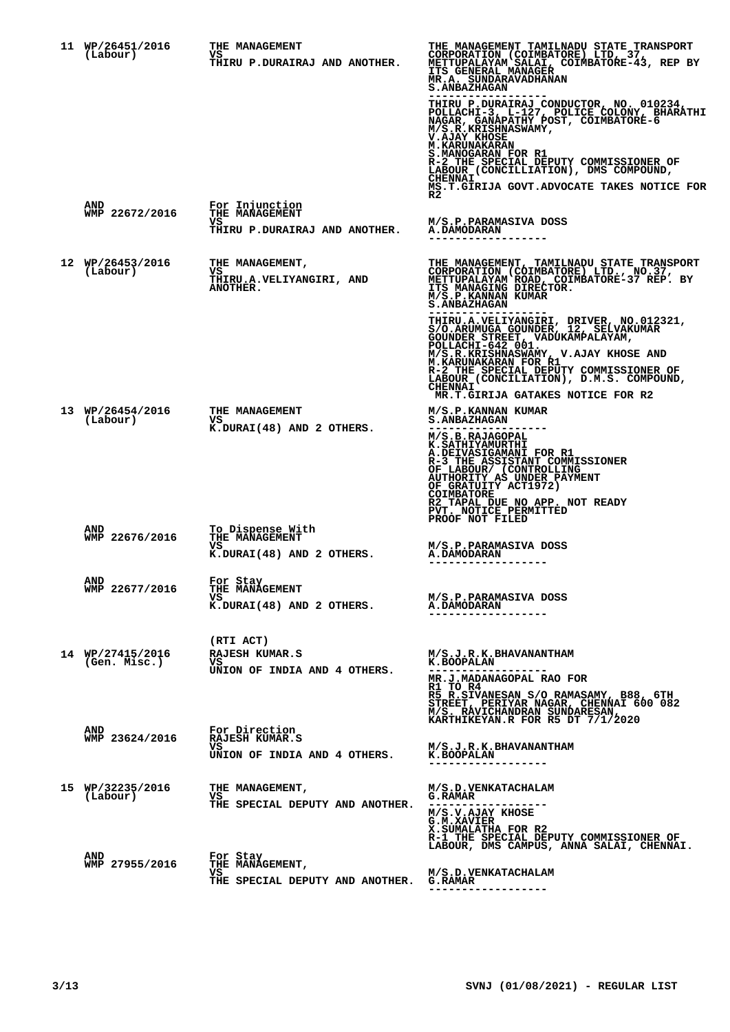| 11 WP/26451/2016<br>(Labour)     | THE MANAGEMENT<br>VS.<br>THIRU P.DURAIRAJ AND ANOTHER.                   | THE MANAGEMENT TAMILNADU STATE TRANSPORT<br>CORPORATION (COIMBATORE) LTD, 37,<br>METTUPALAYAM SALAI, COIMBATORE-43, REP BY<br><b>ITS GENERAL MANAGER</b><br>MR.A. SUNDARAVADHANAN<br><b>S. ANBAZHAGAN</b><br>THIRU P.DURAIRAJ_CONDUCTOR, NO. 010234,<br>POLIACHI-3, L-127, POLICE COLONY, BHARATHI<br>NAGAR, GANAPATHY POST, COLMBATORE-6<br>M/S.R.KRISHNASWAMY,<br>V.AJAY KHOSE<br><b>M.KARUNAKARAN</b><br>S.MANOGARAN FOR R1<br>R-2 THE SPECIAL DEPUTY COMMISSIONER OF |
|----------------------------------|--------------------------------------------------------------------------|--------------------------------------------------------------------------------------------------------------------------------------------------------------------------------------------------------------------------------------------------------------------------------------------------------------------------------------------------------------------------------------------------------------------------------------------------------------------------|
| AND<br>WMP 22672/2016            | For Injunction<br>THE MANAGEMENT<br>VS.<br>THIRU P.DURAIRAJ AND ANOTHER. | LABOUR (CONCILLIATION), DMS COMPOUND,<br><b>CHENNAI</b><br>MS.T.GIRIJA GOVT.ADVOCATE TAKES NOTICE FOR<br>R2<br>M/S.P.PARAMASIVA DOSS<br><b>A.DAMODARAN</b>                                                                                                                                                                                                                                                                                                               |
|                                  |                                                                          |                                                                                                                                                                                                                                                                                                                                                                                                                                                                          |
| 12 WP/26453/2016<br>(Labour)     | THE MANAGEMENT,<br>vs<br>THIRU.A.VELIYANGIRI, AND<br><b>ANOTHER.</b>     | THE MANAGEMENT, TAMILNADU STATE TRANSPORT<br>CORPORATION (COIMBATORE) LTD., NO.37, METTUPALAYAM ROAD, COIMBATORE-37 REP. BY ITS MANAGING DIRECTOR.<br>M/S.P.KANNAN KUMAR<br><b>S.ANBAZHAGAN</b>                                                                                                                                                                                                                                                                          |
|                                  |                                                                          | THIRU.A.VELIYANGIRI, DRIVER, NO.012321,<br>S/O.ARUMUGA GOUNDER, 12, SELVAKUMAR<br>GOUNDER STREET, VADUKAMPALAYAM,<br>POLLACHI-542,001<br>M/S.R.KRISHNASWAMY, V.AJAY KHOSE AND<br>M.KARUNAKARAN FOR R1<br>R-2 THE SPECIAL DEPUTY COMMISSIONER OF<br>LABOUR (CONCILIATION), D.M.S. COMPOUND,<br><b>CHENNAI</b><br>MR.T.GIRIJA GATAKES NOTICE FOR R2                                                                                                                        |
| 13 WP/26454/2016<br>(Labour)     | THE MANAGEMENT<br>vs<br>K.DURAI(48) AND 2 OTHERS.                        | M/S.P.KANNAN KUMAR<br><b>S. ANBAZHAGAN</b><br>M/S.B.RAJAGOPAL<br>K.SATHIYAMURTHI<br>A.DEIVASIGAMANI FOR R1<br>R-3 THE ASSISTANT COMMISSIONER<br>OF LABOUR/ (CONTROLLING<br>AUTHORITY AS UNDER PAYMENT<br>OF GRATUITY ACT1972)<br>COIMBATORE<br>R2 TAPAL DUE NO APP. NOT READY<br>PVT. NOTICE PERMITTED                                                                                                                                                                   |
| AND<br>WMP 22676/2016            | To Dispense With<br><b>THE MANAGEMENT</b>                                | PROOF NOT FILED                                                                                                                                                                                                                                                                                                                                                                                                                                                          |
|                                  | vs<br>K.DURAI(48) AND 2 OTHERS.                                          | M/S.P.PARAMASIVA DOSS<br><b>A.DAMODARAN</b>                                                                                                                                                                                                                                                                                                                                                                                                                              |
| <b>AND</b><br>WMP 22677/2016     | For Stay<br>THE MANAGEMENT<br>VS.<br>K.DURAI(48) AND 2 OTHERS.           | M/S.P.PARAMASIVA DOSS<br><b>A.DAMODARAN</b><br>-------------                                                                                                                                                                                                                                                                                                                                                                                                             |
|                                  | (RTI ACT)                                                                |                                                                                                                                                                                                                                                                                                                                                                                                                                                                          |
| 14 WP/27415/2016<br>(Gen. Misc.) | RAJESH KUMAR.S<br>VS.<br>UNION OF INDIA AND 4 OTHERS.                    | M/S.J.R.K.BHAVANANTHAM<br>K.BOOPALAN<br>MR.J.MADANAGOPAL RAO FOR<br>R1 TO R4                                                                                                                                                                                                                                                                                                                                                                                             |
|                                  |                                                                          | R5 R.SIVANESAN S/O RAMASAMY, B88, 6TH<br>STREET, PERIYAR NAGAR, CHENNAI 600 082<br>M/S. RÁVICHANDRAN SUNDARESAN,                                                                                                                                                                                                                                                                                                                                                         |
| AND<br>WMP 23624/2016            | For Direction<br>RAJESH KUMAR.S                                          | KARTHIKEYAN.R FOR R5 DT 7/1/2020                                                                                                                                                                                                                                                                                                                                                                                                                                         |
|                                  | vs.<br>UNION OF INDIA AND 4 OTHERS.                                      | M/S.J.R.K.BHAVANANTHAM<br>K.BOOPALAN                                                                                                                                                                                                                                                                                                                                                                                                                                     |
| 15 WP/32235/2016<br>(Labour)     | THE MANAGEMENT,<br>VS                                                    | M/S.D.VENKATACHALAM<br><b>G.RAMAR</b>                                                                                                                                                                                                                                                                                                                                                                                                                                    |
|                                  | THE SPECIAL DEPUTY AND ANOTHER.                                          | M/S.V.AJAY KHOSE<br>G.M.XAVIER<br>X.SUMALATHA FOR R2<br>R-1 THE SPECIAL DEPUTY COMMISSIONER OF<br>LABOUR, DMS CAMPUS, ANNA SALAI, CHENNAI.                                                                                                                                                                                                                                                                                                                               |
| AND<br>WMP 27955/2016            | For Stay<br>THE MANAGEMENT,                                              |                                                                                                                                                                                                                                                                                                                                                                                                                                                                          |
|                                  | VS<br>THE SPECIAL DEPUTY AND ANOTHER. G.RAMAR                            | M/S.D.VENKATACHALAM                                                                                                                                                                                                                                                                                                                                                                                                                                                      |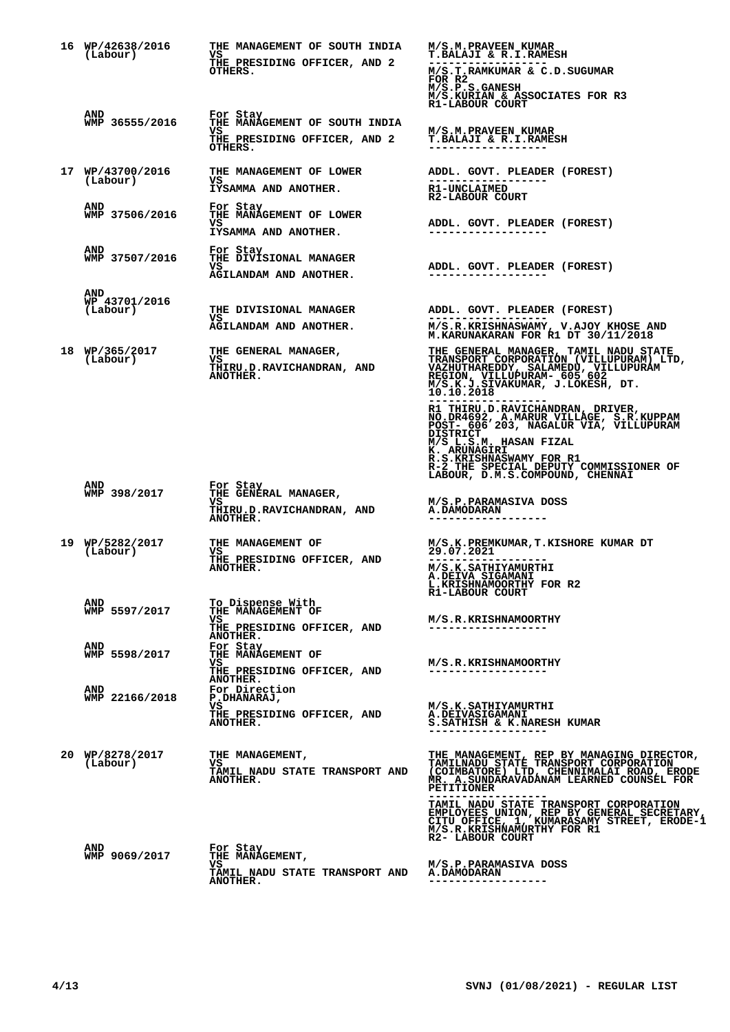| 16 WP/42638/2016<br>(Labour)     | THE MANAGEMENT OF SOUTH INDIA<br>VS<br>THE PRESIDING OFFICER, AND 2<br>OTHERS.                 | M/S.M. PRAVEEN KUMAR<br><b>T.BALAJI &amp; R.I.RAMESH</b><br>M/S.T.RAMKUMAR & C.D.SUGUMAR<br>FOR R2<br>M/S.P.S.GANESH<br>M/S.KURIAN & ASSOCIATES FOR R3                                                                                                                                                                                                               |
|----------------------------------|------------------------------------------------------------------------------------------------|----------------------------------------------------------------------------------------------------------------------------------------------------------------------------------------------------------------------------------------------------------------------------------------------------------------------------------------------------------------------|
| AND<br>WMP 36555/2016            | For Stay<br>THE MANAGEMENT OF SOUTH INDIA<br>vs<br>THE PRESIDING OFFICER, AND 2<br>OTHERS.     | R1-LABOUR COURT<br>M/S.M.PRAVEEN KUMAR<br>T. BALAJI & R.I. RAMESH                                                                                                                                                                                                                                                                                                    |
| 17 WP/43700/2016<br>(Labour)     | THE MANAGEMENT OF LOWER<br>vs<br>IYSAMMA AND ANOTHER.                                          | ADDL. GOVT. PLEADER (FOREST)<br><b>R1-UNCLAIMED</b><br>R2-LABOUR COURT                                                                                                                                                                                                                                                                                               |
| <b>AND</b><br>WMP 37506/2016     | For Stay<br>THE MANAGEMENT OF LOWER<br>vs<br>IYSAMMA AND ANOTHER.                              | ADDL. GOVT. PLEADER (FOREST)                                                                                                                                                                                                                                                                                                                                         |
| AND<br>WMP 37507/2016            | For Stay<br>THE DIVISIONAL MANAGER<br>VS.<br>AGILANDAM AND ANOTHER.                            | ADDL. GOVT. PLEADER (FOREST)                                                                                                                                                                                                                                                                                                                                         |
| AND<br>WP 43701/2016<br>(Labour) | THE DIVISIONAL MANAGER<br>VS<br><b>AGILANDAM AND ANOTHER.</b>                                  | ADDL. GOVT. PLEADER (FOREST)<br>M/S.R.KRISHNASWAMY, V.AJOY KHOSE AND M.KARUNAKARAN FOR R1 DT 30/11/2018                                                                                                                                                                                                                                                              |
| 18 WP/365/2017<br>(Labour)       | THE GENERAL MANAGER,<br>VS<br>THIRU.D.RAVICHANDRAN, AND<br>ANOTHER.                            | THE GENERAL MANAGER, TAMIL NADU STATE<br>TRANSPORT CORPORATION (VILLUPURAM) LTD,<br>VAZHUTHAREDDY, SALAMEDU, VILLUPURAM) LTD,<br>VAZHUTHAREDDY, SALAMEDU, VILLUPURAM<br>MCS.K.J.SIVAKUMAR, J.LOKESH, DT.<br>10.10.2018                                                                                                                                               |
|                                  |                                                                                                | R1 THIRU.D.RAVICHANDRAN, DRIVER,<br>NO.DR4692, A.MARUR VILLAGE, S.R.KUPPAM<br>POST- 606 203, NAGALUR VIA, VILLUPURAM<br><b>DISTRICT</b><br>M/S L.S.M. HASAN FIZAL<br>K. ARUNAGIRI<br>R.S.KRISHNASWAMY FOR R1<br>R-2 THE SPECIAL DEPUTY COMMISSIONER OF<br>LABOUR, D.M.S.COMPOUND, CHENNAI                                                                            |
| AND<br>WMP 398/2017              | For Stay<br>THE GENERAL MANAGER,<br>VS.<br>THIRU.D.RAVICHANDRAN, AND<br>ANOTHER.               | M/S.P.PARAMASIVA DOSS<br><b>A.DAMODARAN</b>                                                                                                                                                                                                                                                                                                                          |
| 19 WP/5282/2017<br>(Labour)      | THE MANAGEMENT OF<br>VS<br>THE PRESIDING OFFICER, AND<br><b>ANOTHER.</b>                       | M/S.K.PREMKUMAR, T.KISHORE KUMAR DT<br>29.07.2021<br>M/S.K.SATHIYAMURTHI<br><b>A.DEIVA SIGAMANI</b><br>L. KRISHNAMOORTHY FOR R2<br>R1-LABOUR COURT                                                                                                                                                                                                                   |
| AND<br>WMP 5597/2017             | To Dispense With<br>THE MANAGEMENT OF<br>VS.<br>THE PRESIDING OFFICER, AND<br>ANOTHER.         | M/S.R.KRISHNAMOORTHY<br>------------------                                                                                                                                                                                                                                                                                                                           |
| <b>AND</b><br>WMP 5598/2017      | For Stav<br>THE MANAGEMENT OF<br>VS<br>THE PRESIDING OFFICER, AND<br>ANOTHER.<br>For Direction | M/S.R.KRISHNAMOORTHY<br>------------------                                                                                                                                                                                                                                                                                                                           |
| AND<br>WMP 22166/2018            | P.DHANARAJ,<br>vs<br>THE PRESIDING OFFICER, AND<br>ANOTHER.                                    | M/S.K.SATHIYAMURTHI<br>A.DEIVASIGAMANI<br>S. SATHISH & K. NARESH KUMAR<br>------------------                                                                                                                                                                                                                                                                         |
| 20 WP/8278/2017<br>(Labour)      | THE MANAGEMENT,<br>VS<br>TAMIL NADU STATE TRANSPORT AND<br>ANOTHER.                            | THE MANAGEMENT, REP BY MANAGING DIRECTOR,<br>TAMILNADU STATE TRANSPORT CORPORATION<br>(COIMBATORE) LTD, CHENNIMALAI ROAD, ERODE<br>MR. A.SUNDARAVADANAM LEARNED COUNSEL FOR<br><b>PETITIONER</b><br>TAMIL NADU STATE TRANSPORT CORPORATION<br>EMPLOYEES UNION, REP BY GENERAL SECRETARY,<br>CITU OFFICE, 1, KUMARASAMY STREET, ERODE-1<br>M/S.R.KRISHNAMURTHY FOR R1 |
| AND<br>WMP 9069/2017             | For Stay<br>THE MANAGEMENT,<br>VS<br><b>TAMIL NADU STATE TRANSPORT AND</b><br><b>ANOTHER.</b>  | R2- LABOUR COURT<br>M/S.P.PARAMASIVA DOSS<br><b>A.DAMODARAN</b><br>------------------                                                                                                                                                                                                                                                                                |
|                                  |                                                                                                |                                                                                                                                                                                                                                                                                                                                                                      |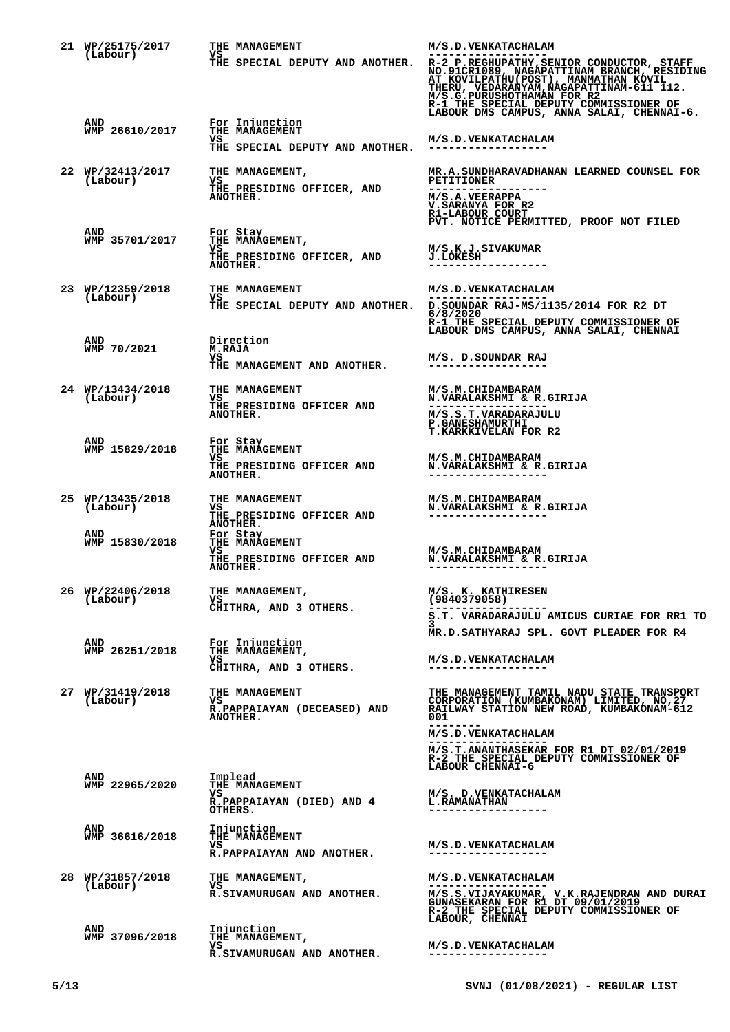| 21 WP/25175/2017<br>(Labour) | THE MANAGEMENT<br>VS                                               | M/S.D.VENKATACHALAM<br>------------------                                                                                                                             |
|------------------------------|--------------------------------------------------------------------|-----------------------------------------------------------------------------------------------------------------------------------------------------------------------|
|                              | THE SPECIAL DEPUTY AND ANOTHER.                                    | R-1 THE SPECIAL DEPUTY COMMISSIONER OF<br>LABOUR DMS CAMPUS, ANNA SALAI, CHENNAI-6.                                                                                   |
| AND<br>WMP 26610/2017        | For Injunction<br>THE MANAGEMENT<br>VS.                            | M/S.D.VENKATACHALAM                                                                                                                                                   |
|                              | THE SPECIAL DEPUTY AND ANOTHER.                                    | ----------------                                                                                                                                                      |
| 22 WP/32413/2017<br>(Labour) | THE MANAGEMENT,<br>VS                                              | MR.A.SUNDHARAVADHANAN LEARNED COUNSEL FOR<br><b>PETITIONER</b>                                                                                                        |
|                              | THE PRESIDING OFFICER, AND<br>ANOTHER.                             | M/S.A.VEERAPPA<br>V.SARANYA FOR R2<br>R1-LABOUR COURT<br>PVT. NOTICE PERMITTED, PROOF NOT FILED                                                                       |
| AND<br>WMP 35701/2017        | For Stay<br>THE MANAGEMENT,                                        |                                                                                                                                                                       |
|                              | VS<br>THE PRESIDING OFFICER, AND<br>ANOTHER.                       | M/S.K.J.SIVAKUMAR<br><b>J.LOKESH</b>                                                                                                                                  |
| 23 WP/12359/2018<br>(Labour) | THE MANAGEMENT<br>VS                                               | M/S.D.VENKATACHALAM<br>------------------                                                                                                                             |
|                              |                                                                    | THE SPECIAL DEPUTY AND ANOTHER. D. SOUNDAR RAJ-MS/1135/2014 FOR R2 DT<br>6/8/2020<br>R-1 THE SPECIAL DEPUTY COMMISSIONER OF<br>LABOUR DMS CAMPUS, ANNA SALAI, CHENNAI |
| AND<br>WMP 70/2021           | Direction<br><b>M.RAJA</b>                                         |                                                                                                                                                                       |
|                              | vs<br>THE MANAGEMENT AND ANOTHER.                                  | M/S. D.SOUNDAR RAJ<br>------------------                                                                                                                              |
| 24 WP/13434/2018<br>(Labour) | THE MANAGEMENT<br>VS                                               | M/S.M.CHIDAMBARAM<br>N. VARALAKSHMI & R. GIRIJA                                                                                                                       |
|                              | THE PRESIDING OFFICER AND<br><b>ANOTHER.</b>                       | M/S.S.T.VARADARAJULU<br><b>P. GANESHAMURTHI</b><br><b>T.KARKKIVELAN FOR R2</b>                                                                                        |
| <b>AND</b><br>WMP 15829/2018 | For Stay<br>THE MANAGEMENT                                         |                                                                                                                                                                       |
|                              | VS.<br>THE PRESIDING OFFICER AND<br>ANOTHER.                       | <b>M/S.M.CHIDAMBARAM</b><br>N. VARALAKSHMI & R. GIRIJA                                                                                                                |
| 25 WP/13435/2018<br>(Labour) | THE MANAGEMENT<br>VS                                               | M/S.M.CHIDAMBARAM<br>N. VARALAKSHMI & R. GIRIJA                                                                                                                       |
|                              | THE PRESIDING OFFICER AND<br>ANOTHER.                              |                                                                                                                                                                       |
| AND<br>WMP 15830/2018        | For Stay<br>THE MANAGEMENT<br>vs                                   | <b>M/S.M.CHIDAMBARAM</b>                                                                                                                                              |
|                              | THE PRESIDING OFFICER AND<br>ANOTHER.                              | N.VARALAKSHMI & R.GIRIJA                                                                                                                                              |
| 26 WP/22406/2018<br>(Labour) | THE MANAGEMENT,<br>VS.                                             | M/S. K. KATHIRESEN<br>(9840379058)                                                                                                                                    |
|                              | CHITHRA, AND 3 OTHERS.                                             | S.T. VARADARAJULU AMICUS CURIAE FOR RR1 TO                                                                                                                            |
| AND                          |                                                                    | MR.D.SATHYARAJ SPL. GOVT PLEADER FOR R4                                                                                                                               |
| WMP 26251/2018               | For Injunction<br>THE MANAGEMENT,<br>VS.<br>CHITHRA, AND 3 OTHERS. | M/S.D.VENKATACHALAM                                                                                                                                                   |
| 27 WP/31419/2018<br>(Labour) | THE MANAGEMENT<br>VS<br>R.PAPPAIAYAN (DECEASED) AND<br>ANOTHER.    | THE MANAGEMENT TAMIL NADU STATE TRANSPORT<br>CORPORATION (KUMBAKONAM) LIMITED, NO, 27<br>RAILWAY STATION NEW ROAD, KUMBAKONAM-612<br>001                              |
|                              |                                                                    | M/S.D. VENKATACHALAM                                                                                                                                                  |
| AND                          | Implead                                                            | M/S.T.ANANTHASEKAR FOR R1 DT 02/01/2019<br>R-2 THE SPECIAL DEPUTY COMMISSIONER OF<br>LABOUR CHENNAI-6                                                                 |
| WMP 22965/2020               | THE MANAGEMENT<br>vs<br>R.PAPPAIAYAN (DIED) AND 4                  | M/S. D.VENKATACHALAM<br><b>L.RAMANATHAN</b>                                                                                                                           |
|                              | OTHERS.                                                            | ------------------                                                                                                                                                    |
| AND<br>WMP 36616/2018        | Injunction<br>THE MANAGEMENT<br>VS<br>R.PAPPAIAYAN AND ANOTHER.    | M/S.D.VENKATACHALAM<br>-----------------                                                                                                                              |
| 28 WP/31857/2018             | THE MANAGEMENT,                                                    | M/S.D.VENKATACHALAM                                                                                                                                                   |
| (Labour)                     | vs<br>R.SIVAMURUGAN AND ANOTHER.                                   | M/S.S.VIJAYAKUMAR, V.K.RAJENDRAN AND DURAI GUNASEKARAN FOR R1 DT 09/01/2019                                                                                           |
| AND                          | Injunction                                                         | R-2 THE SPECIAL DEPUTY COMMISSIONER OF<br>LABOUR, CHENNAI                                                                                                             |
| WMP 37096/2018               | THE MANAGEMENT,<br>VS.                                             | M/S.D.VENKATACHALAM                                                                                                                                                   |
|                              | R.SIVAMURUGAN AND ANOTHER.                                         | ------------------                                                                                                                                                    |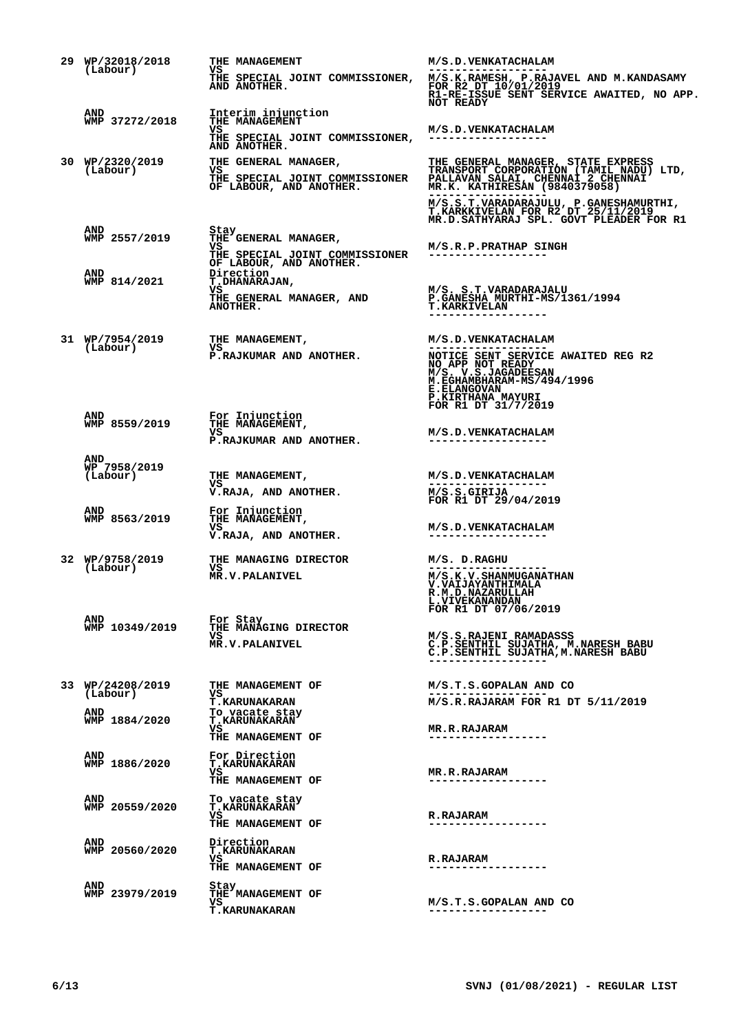| 29 WP/32018/2018                | THE MANAGEMENT                                                                                                                                   | M/S.D.VENKATACHALAM                                                                                                                                                                                                                     |
|---------------------------------|--------------------------------------------------------------------------------------------------------------------------------------------------|-----------------------------------------------------------------------------------------------------------------------------------------------------------------------------------------------------------------------------------------|
| (Labour)                        | VS                                                                                                                                               | THE SPECIAL JOINT COMMISSIONER, M/S.K.RAMESH, P.RAJAVEL AND M.KANDASAMY AND ANOTHER. FOR R2 DT 10/01/2019<br>R1-RE-ISSUE SENT SERVICE AWAITED, NO APP.<br><b>NOT READY</b>                                                              |
| AND<br>WMP 37272/2018           | Interim injunction                                                                                                                               |                                                                                                                                                                                                                                         |
|                                 | THE MANAGEMENT<br>vs<br>THE SPECIAL JOINT COMMISSIONER,<br>AND ANOTHER.                                                                          | M/S.D. VENKATACHALAM<br>------------------                                                                                                                                                                                              |
| 30 WP/2320/2019<br>(Labour)     |                                                                                                                                                  | THE GENERAL MANAGER, THE GENERAL MANAGER, STATE EXPRESS<br>VS THE SPECIAL JOINT COMMISSIONER TRANSPORT CORPORATION (TAMIL NADU) LTD,<br>THE SPECIAL JOINT COMMISSIONER PALLAVAN SALAI, CHENNAI 2 CHENNAI<br>OF LABOUR, AND ANOTHER. MR. |
|                                 |                                                                                                                                                  | M/S.S.T.VARADARAJULU, P.GANESHAMURTHI,<br>T.KARKKIVELAN FOR R2 DT 25/11/2019<br>MR.D.SATHYARAJ SPL. GOVT PLEADER FOR R1                                                                                                                 |
| AND<br>WMP 2557/2019<br>AND     | Stay<br>THE GENERAL MANAGER,<br>VS.<br>THE SPECIAL JOINT COMMISSIONER<br>OF LABOUR, AND ANOTHER.<br>Direction                                    | M/S.R.P.PRATHAP SINGH                                                                                                                                                                                                                   |
| WMP 814/2021                    | <b>T.DHANARAJAN,</b><br>VS<br>THE GENERAL MANAGER, AND M/S. S.T.VARADARAJALU<br>ANOTHER MANAGER, AND P. SANESHA, MURTHI-MS/1361/1994<br>ANOTHER. | <b>T.KARKIVELAN</b>                                                                                                                                                                                                                     |
| 31 WP/7954/2019<br>(Labour)     | THE MANAGEMENT,<br>VS                                                                                                                            | <b>M/S.D.VENKATACHALAM</b>                                                                                                                                                                                                              |
|                                 | P.RAJKUMAR AND ANOTHER.                                                                                                                          | NOTICE SENT SERVICE AWAITED REG R2<br>NO APP NOT READY<br>M/S. V.S.JAGADEESAN<br>M.EGHAMBHARAM-MS/494/1996<br><b>E.ELANGOVAN</b><br>P.KIRTHANA MAYURI                                                                                   |
| AND<br>WMP 8559/2019            | For Injunction<br>THE MANAGEMENT,                                                                                                                | FOR R1 DT 31/7/2019                                                                                                                                                                                                                     |
|                                 | vs<br>P.RAJKUMAR AND ANOTHER.                                                                                                                    | <b>M/S.D.VENKATACHALAM</b><br>------------------                                                                                                                                                                                        |
| AND<br>WP 7958/2019<br>(Labour) | THE MANAGEMENT,<br>VS                                                                                                                            | <b>M/S.D.VENKATACHALAM</b><br>-------------------                                                                                                                                                                                       |
| AND                             | V.RAJA, AND ANOTHER.                                                                                                                             | M/S.S.GIRIJA<br>FOR R1 DT 29/04/2019                                                                                                                                                                                                    |
| WMP 8563/2019                   | For Injunction<br>THE MANAGEMENT,<br>VS<br>V.RAJA, AND ANOTHER.                                                                                  | <b>M/S.D.VENKATACHALAM</b><br>------------------                                                                                                                                                                                        |
| 32 WP/9758/2019<br>(Labour)     | THE MANAGING DIRECTOR<br>VS<br>MR.V.PALANIVEL                                                                                                    | M/S. D.RAGHU                                                                                                                                                                                                                            |
|                                 |                                                                                                                                                  | <b>M/S.K.V.SHANMUGANATHAN<br/>V.VAIJAYANTHIMALA</b><br>R.M.D.NAZARULLAH<br>L. VIVEKANANDAN<br>FOR R1 DT 07/06/2019                                                                                                                      |
| <b>AND</b><br>WMP 10349/2019    | For Stay<br>THE MANAGING DIRECTOR                                                                                                                |                                                                                                                                                                                                                                         |
|                                 | vs<br><b>MR.V.PALANIVEL</b>                                                                                                                      | M/S.S.RAJENI RAMADASSS<br>C.P.SENTHIL SUJATHA, M.NARESH BABU<br>C.P.SENTHIL SUJATHA, M.NARESH BABU                                                                                                                                      |
| 33 WP/24208/2019<br>(Labour)    | THE MANAGEMENT OF<br>vs                                                                                                                          | M/S.T.S.GOPALAN AND CO                                                                                                                                                                                                                  |
| AND<br>WMP 1884/2020            | <b>T.KARUNAKARAN</b><br>To vacate stay<br><b>T.KARUNAKARAN</b><br>vs                                                                             | M/S.R.RAJARAM FOR R1 DT 5/11/2019<br><b>MR.R.RAJARAM</b>                                                                                                                                                                                |
|                                 | THE MANAGEMENT OF                                                                                                                                |                                                                                                                                                                                                                                         |
| AND<br>WMP 1886/2020            | For Direction<br><b>T.KARUNAKARAN</b><br>vs<br>THE MANAGEMENT OF                                                                                 | <b>MR.R.RAJARAM</b>                                                                                                                                                                                                                     |
| <b>AND</b><br>WMP 20559/2020    | To vacate stay<br><b>T.KARUNAKARAN</b>                                                                                                           |                                                                                                                                                                                                                                         |
|                                 | vs<br>THE MANAGEMENT OF                                                                                                                          | <b>R.RAJARAM</b>                                                                                                                                                                                                                        |
| AND<br>WMP 20560/2020           | Direction<br><b>T.KARUNAKARAN</b><br>VS<br>THE MANAGEMENT OF                                                                                     | <b>R.RAJARAM</b><br>. _ _ _ _ _ _ _ _ _ _ _ _ _ _ _ _ _ _                                                                                                                                                                               |
| <b>AND</b><br>WMP 23979/2019    | Stay<br>THE MANAGEMENT OF<br>vs<br><b>T.KARUNAKARAN</b>                                                                                          | M/S.T.S.GOPALAN AND CO                                                                                                                                                                                                                  |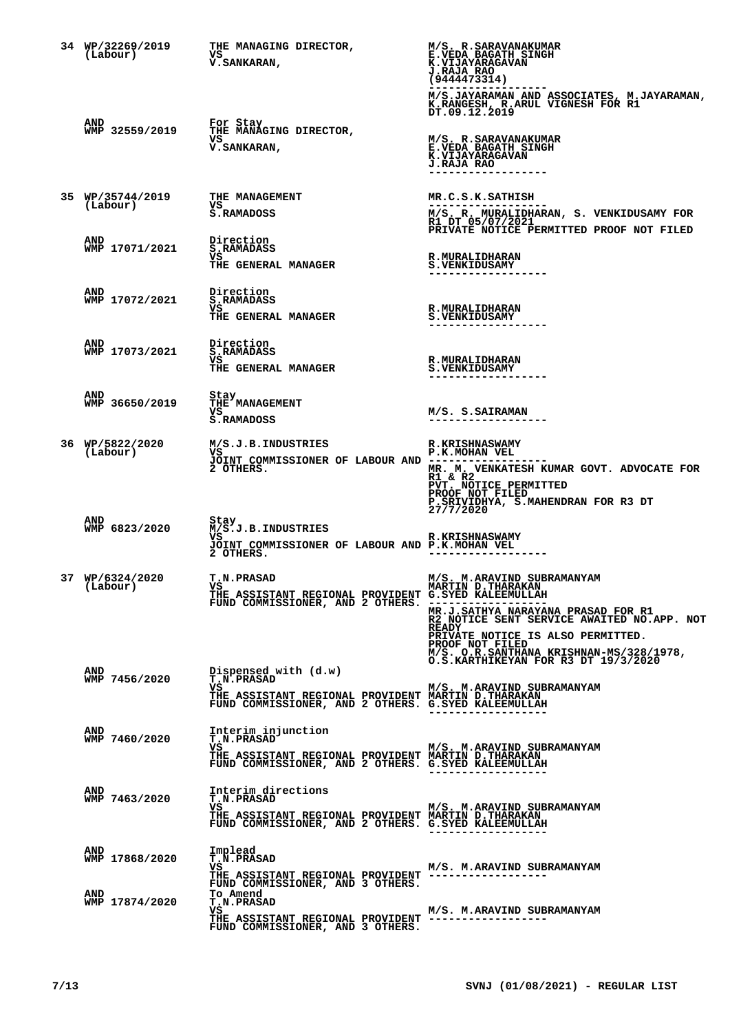| 34 WP/32269/2019<br>(Labour) | THE MANAGING DIRECTOR,<br>VS<br>V. SANKARAN,                                                                                                                 | M/S. R.SARAVANAKUMAR<br><b>E.VEDA BAGATH SINGH</b><br><b>K.VIJAYARAGAVAN</b><br>J.RAJA RAO<br>(9444473314)<br>M/S.JAYARAMAN AND ASSOCIATES, M.JAYARAMAN,                                                                                                                                             |
|------------------------------|--------------------------------------------------------------------------------------------------------------------------------------------------------------|------------------------------------------------------------------------------------------------------------------------------------------------------------------------------------------------------------------------------------------------------------------------------------------------------|
|                              |                                                                                                                                                              | K.RANGESH, R.ARUL VIGNESH FOR RIDT.09.12.2019                                                                                                                                                                                                                                                        |
| AND<br>WMP 32559/2019        | For Stay<br>THE MANAGING DIRECTOR,<br>vs<br><b>V.SANKARAN,</b>                                                                                               | M/S. R.SARAVANAKUMAR<br>E.VEDA BAGATH SINGH<br>K.VIJAYARAGAVAN<br><b>J.RAJA RAO</b><br>.                                                                                                                                                                                                             |
| 35 WP/35744/2019<br>(Labour) | THE MANAGEMENT<br>VS<br>S.RAMADOSS                                                                                                                           | MR.C.S.K.SATHISH<br>------------------<br>M/S. R. MURALIDHARAN, S. VENKIDUSAMY FOR R1 DT 05/07/2021<br>PRIVATE NOTICE PERMITTED PROOF NOT FILED                                                                                                                                                      |
| AND<br>WMP 17071/2021        | Direction<br><b>S.RAMADASS</b><br>VS.<br>THE GENERAL MANAGER                                                                                                 | <b>R.MURALIDHARAN</b><br><b>S.VENKIDUSAMY</b>                                                                                                                                                                                                                                                        |
| <b>AND</b><br>WMP 17072/2021 | Direction<br><b>S.RAMADASS</b><br>VS<br>THE GENERAL MANAGER                                                                                                  | <b>R.MURALIDHARAN</b><br><b>S.VENKIDUSAMY</b>                                                                                                                                                                                                                                                        |
| <b>AND</b><br>WMP 17073/2021 | Direction<br><b>S.RAMADASS</b><br>vs<br><b>THE GENERAL MANAGER</b>                                                                                           | <b>R.MURALIDHARAN</b><br><b>S.VENKIDUSAMY</b>                                                                                                                                                                                                                                                        |
| <b>AND</b><br>WMP 36650/2019 | Stay<br>THE MANAGEMENT<br>VS<br>S.RAMADOSS                                                                                                                   | M/S. S.SAIRAMAN<br>------------------                                                                                                                                                                                                                                                                |
| 36 WP/5822/2020<br>(Labour)  | M/S.J.B.INDUSTRIES<br>vs<br>JOINT COMMISSIONER OF LABOUR AND --<br>2 OTHERS.                                                                                 | <b>R.KRISHNASWAMY</b><br>P.K.MOHAN VEL<br>MR. M. VENKATESH KUMAR GOVT. ADVOCATE FOR<br>R1 & R2<br>PVT. NOTICE PERMITTED<br>PROOF NOT FILED<br>P.SRIVIDHYA, S.MAHENDRAN FOR R3 DT 27/7/2020                                                                                                           |
| AND<br>WMP 6823/2020         | Stay<br>M/S.J.B.INDUSTRIES<br>VS.<br>JOINT COMMISSIONER OF LABOUR AND P.K.MOHAN VEL<br>2 OTHERS.                                                             | <b>R.KRISHNASWAMY</b>                                                                                                                                                                                                                                                                                |
| 37 WP/6324/2020<br>(Labour)  | <b>T.N.PRASAD</b><br>VS <b>V</b><br>THE ASSISTANT REGIONAL PROVIDENT G.SYED KALEEMULLAH<br>FUND COMMISSIONER, AND 2 OTHERS. -----------------                | M/S. M.ARAVIND SUBRAMANYAM<br><b>MARTIN D.THARAKAN</b><br>MR.J.SATHYA NARAYANA PRASAD FOR R1<br>R2 NOTICE SENT SERVICE AWAITED NO.APP. NOT<br><b>READY</b><br>PRIVATE NOTICE IS ALSO PERMITTED.<br>PROOF NOT FILED<br>M/S. O.R.SANTHANA KRISHNAN-MS/328/1978,<br>O.S.KARTHIKEYAN FOR R3 DT 19/3/2020 |
| AND<br>WMP 7456/2020         | Dispensed with (d.w)<br><b>T.N.PRASAD</b><br>vs<br>THE ASSISTANT REGIONAL PROVIDENT MARTIN D.THARAKAN<br>FUND COMMISSIONER, AND 2 OTHERS. G.SYED KALEEMULLAH | M/S. M.ARAVIND SUBRAMANYAM                                                                                                                                                                                                                                                                           |
| AND<br>WMP 7460/2020         | Interim injunction<br><b>T.N.PRASAD</b><br>vs<br>THE ASSISTANT REGIONAL PROVIDENT MARTIN D. THARAKAN<br>FUND COMMISSIONER, AND 2 OTHERS. G.SYED KALEEMULLAH  | M/S. M.ARAVIND SUBRAMANYAM<br>------------------                                                                                                                                                                                                                                                     |
| AND<br>WMP 7463/2020         | Interim directions<br><b>T.N.PRASAD</b><br>vs<br>THE ASSISTANT REGIONAL PROVIDENT MARTIN D.THARAKAN<br>FUND COMMISSIONER, AND 2 OTHERS. G.SYED KALEEMULLAH   | M/S. M.ARAVIND SUBRAMANYAM<br>------------------                                                                                                                                                                                                                                                     |
| <b>AND</b><br>WMP 17868/2020 | Implead<br><b>T.N.PRASAD</b><br>vs<br>THE ASSISTANT REGIONAL PROVIDENT -----------------<br>FUND COMMISSIONER, AND 3 OTHERS.                                 | M/S. M.ARAVIND SUBRAMANYAM                                                                                                                                                                                                                                                                           |
| AND<br>WMP 17874/2020        | To Amend<br><b>T.N.PRASAD</b><br>VS.<br>THE ASSISTANT REGIONAL PROVIDENT "--------------------<br>FUND COMMISSIONER, AND 3 OTHERS.                           | M/S. M.ARAVIND SUBRAMANYAM                                                                                                                                                                                                                                                                           |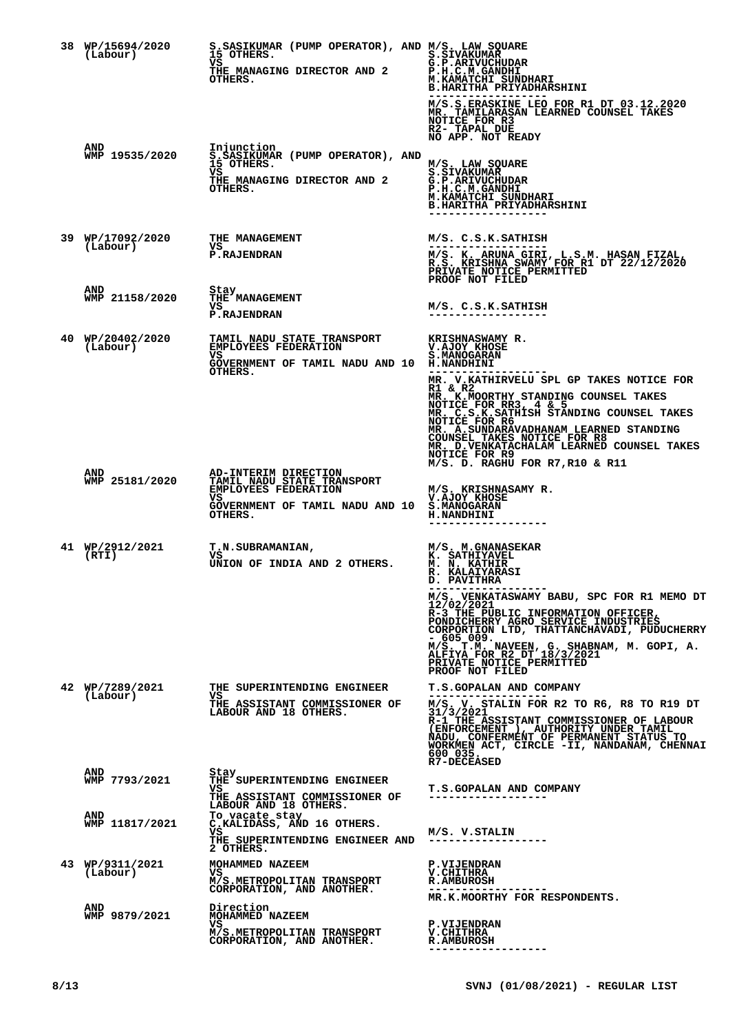| 38 WP/15694/2020<br>(Labour) | S.SASIKUMAR (PUMP OPERATOR), AND M/S. LAW SQUARE<br>15 OTHERS.<br>vs<br>THE MANAGING DIRECTOR AND 2<br>OTHERS.                                    | <b>S.SIVAKUMAR</b><br>G.P.ARIVUCHUDAR<br>P.H.C.M.GANDHI<br>M. KAMATCHI SUNDHARI<br><b>B.HARITHA PRIYADHARSHINI</b><br>M/S.S. ERASKINE LEO FOR R1 DT 03.12.2020<br>MR. TAMILARASAN LEARNED COUNSEL TAKES<br>NOTICE FOR R3<br>R2- TAPAL DUE<br>NO APP. NOT READY                                                                                                                                                                            |
|------------------------------|---------------------------------------------------------------------------------------------------------------------------------------------------|-------------------------------------------------------------------------------------------------------------------------------------------------------------------------------------------------------------------------------------------------------------------------------------------------------------------------------------------------------------------------------------------------------------------------------------------|
| AND<br>WMP 19535/2020        | Injunction<br>S.ŠASIKUMAR (PUMP OPERATOR), AND<br>15 OTHERS.<br>vs<br>THE MANAGING DIRECTOR AND 2<br>OTHERS.                                      | M/S. LAW SOUARE<br><b>S.SIVAKUMAR</b><br>G.P.ARIVUCHUDAR<br>P.H.C.M.GANDHI<br>M.KAMATCHI SUNDHARI<br><b>B.HARITHA PRIYADHARSHINI</b><br>-----------------                                                                                                                                                                                                                                                                                 |
| 39 WP/17092/2020<br>(Labour) | THE MANAGEMENT<br>vs<br><b>P.RAJENDRAN</b>                                                                                                        | M/S. C.S.K.SATHISH<br>M/S. K. ARUNA GIRI, L.S.M. HASAN FIZAL, R.S. KRISHNA SWAMY FOR R1 DT 22/12/2020<br>PRIVATE NOTICE PERMITTED<br>PROOF NOT FILED                                                                                                                                                                                                                                                                                      |
| AND<br>WMP 21158/2020        | Stay<br>THE MANAGEMENT<br>vs<br><b>P.RAJENDRAN</b>                                                                                                | M/S. C.S.K.SATHISH                                                                                                                                                                                                                                                                                                                                                                                                                        |
| 40 WP/20402/2020<br>(Labour) | TAMIL NADU STATE TRANSPORT<br>EMPLOYEES FEDERATION<br>vs<br>GOVERNMENT OF TAMIL NADU AND 10 H.NANDHINI<br>OTHERS.                                 | KRISHNASWAMY R.<br>V.AJOY KHOSE<br><b>S.MANOGARAN</b><br>MR. V.KATHIRVELU SPL GP TAKES NOTICE FOR<br>R1 & R2<br>MR. K.MOORTHY STANDING COUNSEL TAKES<br>NOTICE FOR RR3, 4 & 5<br>MR. C.S.K.SATHISH STANDING COUNSEL TAKES<br>NOTICE FOR R6<br>MR. A. SUNDARAVADHANAM LEARNED STANDING<br>COUNSEL TAKES NOTICE FOR R8<br>MR. D. VENKATACHALAM LEARNED COUNSEL TAKES<br>NOTICE FOR R9<br>M/S. D. RAGHU FOR R7, R10 & R11                    |
| <b>AND</b><br>WMP 25181/2020 | AD-INTERIM DIRECTION<br>TAMIL NADU STATE TRANSPORT<br><b>EMPLOYEES FEDERATION</b><br>vs<br>GOVERNMENT OF TAMIL NADU AND 10 S.MANOGARAN<br>OTHERS. | M/S. KRISHNASAMY R.<br>V.AJOY KHOSE<br><b>H.NANDHINI</b><br>------------------                                                                                                                                                                                                                                                                                                                                                            |
| 41 WP/2912/2021<br>(RTI)     | <b>T.N.SUBRAMANIAN,</b><br>vs<br>UNION OF INDIA AND 2 OTHERS.                                                                                     | <b>M/S. M.GNANASEKAR<br/>K. SATHIYAVEL</b><br><b>M. N. KATHIR</b><br><b>R. KALAIYARASI</b><br>D. PAVITHRA<br>M/S. VENKATASWAMY BABU, SPC FOR R1 MEMO DT<br>12/02/2021<br>R-3 THE PUBLIC INFORMATION OFFICER,<br>PONDICHERRY AGRO SERVICE INDUSTRIES<br>CORPORTION LTD, THATTANCHAVADI, PUDUCHERRY<br>- 605 009.<br>M/S. T.M. NAVEEN, G. SHABNAM, M. GOPI, A.<br>ALFIYA FOR R2 DT 18/3/2021<br>PRIVATE NOTICE PERMITTED<br>PROOF NOT FILED |
| 42 WP/7289/2021<br>(Labour)  | THE SUPERINTENDING ENGINEER<br>vs<br>THE ASSISTANT COMMISSIONER OF<br>LABOUR AND 18 OTHERS.                                                       | <b>T.S.GOPALAN AND COMPANY</b><br>M/S. V. STALIN FOR R2 TO R6, R8 TO R19 DT<br>31/3/2021<br>R-1 THE ASSISTANT COMMISSIONER OF LABOUR<br>(ENFORCEMENT), AUTHORITY UNDER TAMIL<br>NADU, CONFERMÉNT OF PERMANENT STATUS TO<br>WORKMEN ACT, CIRCLE -II, NANDANAM, CHENNAI<br>600 035.<br><b>R7-DECEASED</b>                                                                                                                                   |
| AND<br>WMP 7793/2021         | Stay<br>THE SUPERINTENDING ENGINEER<br>VS.<br>THE ASSISTANT COMMISSIONER OF<br>LABOUR AND 18 OTHERS.                                              | <b>T.S.GOPALAN AND COMPANY</b><br>----------------                                                                                                                                                                                                                                                                                                                                                                                        |
| AND<br>WMP 11817/2021        | To vacate stay<br>C.KALIDASS, AND 16 OTHERS.<br>vs<br>THE SUPERINTENDING ENGINEER AND<br>2 OTHERS.                                                | M/S. V.STALIN                                                                                                                                                                                                                                                                                                                                                                                                                             |
| 43 WP/9311/2021<br>(Labour)  | MOHAMMED NAZEEM<br>vs<br>M/S.METROPOLITAN TRANSPORT<br>CORPORATION, AND ANOTHER.                                                                  | <b>P.VIJENDRAN</b><br><b>V.CHITHRA</b><br><b>R.AMBUROSH</b><br>------------------<br>MR.K.MOORTHY FOR RESPONDENTS.                                                                                                                                                                                                                                                                                                                        |
| <b>AND</b><br>WMP 9879/2021  | Direction<br>MOHAMMED NAZEEM<br>vs<br>M/S.METROPOLITAN TRANSPORT<br>CORPORATION, AND ANOTHER.                                                     | <b>P.VIJENDRAN</b><br><b>V.CHITHRA</b><br><b>R.AMBUROSH</b>                                                                                                                                                                                                                                                                                                                                                                               |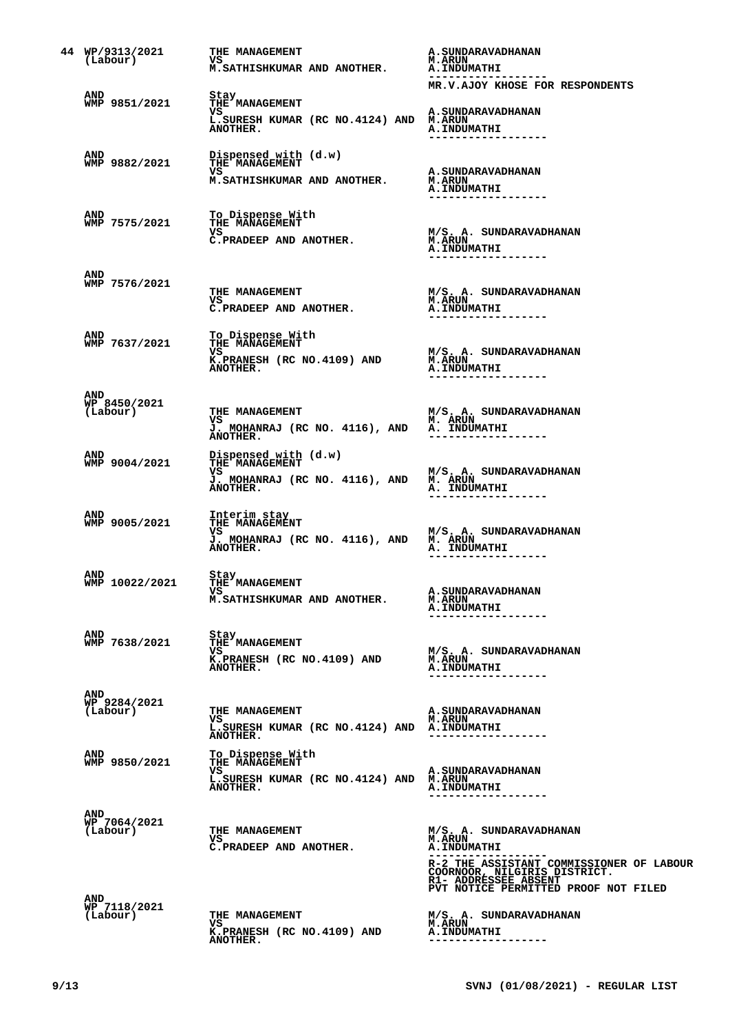| 44 WP/9313/2021<br>(Labour)     | THE MANAGEMENT<br>VS<br>M.SATHISHKUMAR AND ANOTHER.                                                | A. SUNDARAVADHANAN<br><b>M.ARUN</b><br><b>A.INDUMATHI</b>                                                                                                                                                               |
|---------------------------------|----------------------------------------------------------------------------------------------------|-------------------------------------------------------------------------------------------------------------------------------------------------------------------------------------------------------------------------|
| AND<br>WMP 9851/2021            | Stay<br>THE MANAGEMENT<br>VS<br>L. SURESH KUMAR (RC NO. 4124) AND M. ARUN                          | MR.V.AJOY KHOSE FOR RESPONDENTS<br><b>A. SUNDARAVADHANAN</b>                                                                                                                                                            |
| AND<br>WMP 9882/2021            | ANOTHER.<br>Dispensed with (d.w)<br><b>THE MANAGEMENT</b><br>vs<br>M.SATHISHKUMAR AND ANOTHER.     | <b>A. INDUMATHI</b><br>------------------<br><b>A. SUNDARAVADHANAN</b><br><b>M.ARUN</b>                                                                                                                                 |
| AND<br>WMP 7575/2021            | To Dispense With<br>THE MANAGEMENT<br>VS<br>C.PRADEEP AND ANOTHER.                                 | <b>A. INDUMATHI</b><br>. _ _ _ _ _ _ _ _ _ _ _ _ _ _<br>M/S. A. SUNDARAVADHANAN<br><b>M.ARUN</b><br><b>A. INDUMATHI</b>                                                                                                 |
| AND<br>WMP 7576/2021            | <b>THE MANAGEMENT</b><br>VS<br>C.PRADEEP AND ANOTHER.                                              | M/S. A. SUNDARAVADHANAN<br><b>M.ARUN</b><br><b>A.INDUMATHI</b>                                                                                                                                                          |
| AND<br>WMP 7637/2021            | To Dispense With<br>THE MANAGEMENT<br>vs<br>K.PRANESH (RC NO.4109) AND<br>ANOTHER.                 | ------------------<br>M/S. A. SUNDARAVADHANAN<br><b>M.ARUN</b><br>A.INDUMATHI<br>----------------                                                                                                                       |
| AND<br>WP 8450/2021<br>(Labour) | THE MANAGEMENT<br>VS<br>J. MOHANRAJ (RC NO. 4116), AND A. INDUMATHI<br>ANOTHER.                    | M/S. A. SUNDARAVADHANAN<br><b>M. ARUN</b>                                                                                                                                                                               |
| AND<br>WMP 9004/2021            | Dispensed with (d.w)<br>THE MANAGEMENT<br>VS<br>J. MOHANRAJ (RC NO. 4116), AND M. ARUN<br>ANOTHER. | M/S. A. SUNDARAVADHANAN<br><b>A. INDUMATHI</b>                                                                                                                                                                          |
| AND<br>WMP 9005/2021            | Interim stay<br>THE MANAGEMENT<br>VS<br>J. MOHANRAJ (RC NO. 4116), AND M. ARUN<br>ANOTHER.         | M/S. A. SUNDARAVADHANAN<br><b>A. INDUMATHI</b>                                                                                                                                                                          |
| AND<br>WMP 10022/2021           | Stay<br>THE MANAGEMENT<br>vs.<br>M. SATHISHKUMAR AND ANOTHER.                                      | A. SUNDARAVADHANAN<br><b>M.ARUN</b><br><b>A. INDUMATHI</b><br>---------------                                                                                                                                           |
| AND<br>WMP 7638/2021            | Stay<br><b>THE MANAGEMENT</b><br>VS<br>K.PRANESH (RC NO.4109) AND<br>ANOTHER.                      | M/S. A. SUNDARAVADHANAN<br><b>M.ARUN</b><br><b>A. INDUMATHI</b>                                                                                                                                                         |
| AND<br>WP 9284/2021<br>(Labour) | THE MANAGEMENT<br>VS<br>L.SURESH KUMAR (RC NO.4124) AND A.INDUMATHI<br>ANOTHER.                    | <b>A. SUNDARAVADHANAN</b><br><b>M.ARUN</b><br>------------------                                                                                                                                                        |
| AND<br>WMP 9850/2021            | To Dispense With<br>THE MANAGEMENT<br>vs<br>L.SURESH KUMAR (RC NO.4124) AND M.ARUN<br>ANOTHER.     | A. SUNDARAVADHANAN<br><b>A. INDUMATHI</b><br>. _ _ _ _ _ _ _ _ _ _ _ _ _ _ _ _ _                                                                                                                                        |
| AND<br>WP 7064/2021<br>(Labour) | <b>THE MANAGEMENT</b><br>VS<br>C.PRADEEP AND ANOTHER.                                              | M/S. A. SUNDARAVADHANAN<br><b>M.ARUN</b><br><b>A. INDUMATHI</b><br>--------<br>R-2 THE ASSISTANT COMMISSIONER OF LABOUR<br>COORNOOR, NILGIRIS DISTRICT.<br>R1- ADDRESSEE ABSENT<br>PVT NOTICE PERMITTED PROOF NOT FILED |
| AND<br>WP 7118/2021<br>(Labour) | THE MANAGEMENT<br>vs<br>K.PRANESH (RC NO.4109) AND<br>ANOTHER.                                     | M/S. A. SUNDARAVADHANAN<br><b>M.ARUN</b><br><b>A. INDUMATHI</b>                                                                                                                                                         |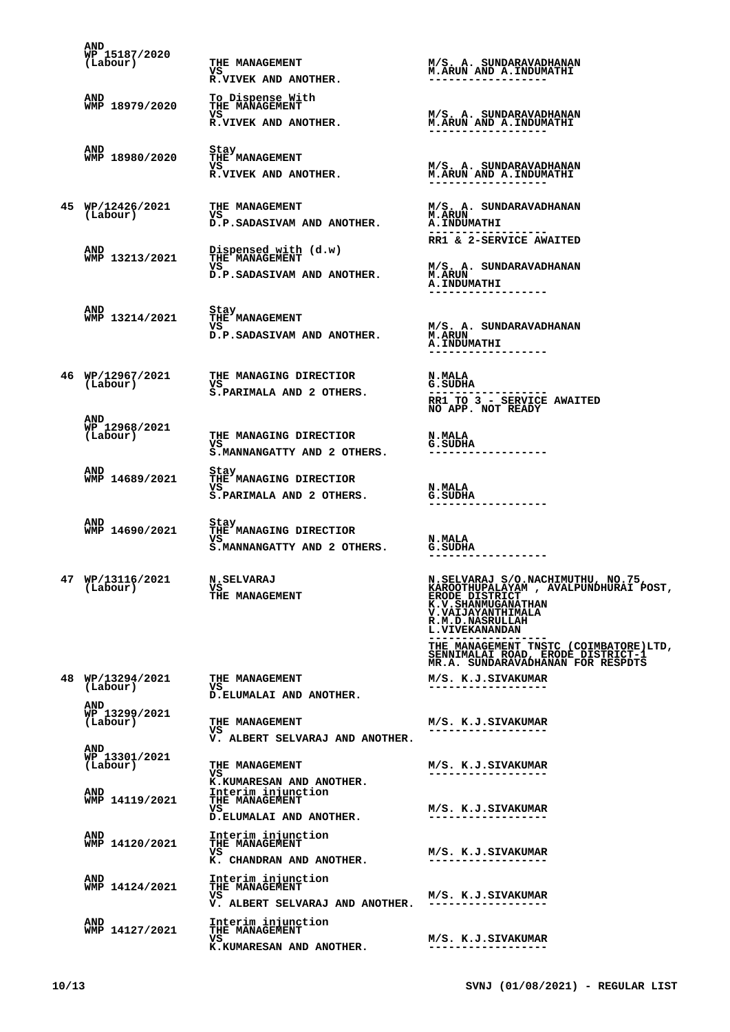| AND<br>WP 15187/2020<br>(Labour)        | THE MANAGEMENT<br>VS<br>R.VIVEK AND ANOTHER.                               | M/S. A. SUNDARAVADHANAN<br>M.ARUN AND A.INDUMATHI                                                                                                                                     |
|-----------------------------------------|----------------------------------------------------------------------------|---------------------------------------------------------------------------------------------------------------------------------------------------------------------------------------|
| AND<br>WMP 18979/2020                   | To Dispense With<br><b>THE MANAGEMENT</b><br>vs<br>R.VIVEK AND ANOTHER.    | M/S. A. SUNDARAVADHANAN<br><b>M.ARUN AND A.INDUMATHI</b>                                                                                                                              |
| AND<br>WMP 18980/2020                   | Stay<br><b>THE MANAGEMENT</b><br>VS<br>R.VIVEK AND ANOTHER.                | M/S. A. SUNDARAVADHANAN<br><b>M.ARUN AND A.INDUMATHI</b>                                                                                                                              |
| 45 WP/12426/2021<br>(Labour)            | <b>THE MANAGEMENT</b><br>VS<br>D.P.SADASIVAM AND ANOTHER.                  | M/S. A. SUNDARAVADHANAN<br><b>M.ARUN</b><br><b>A.INDUMATHI</b><br>RR1 & 2-SERVICE AWAITED                                                                                             |
| <b>AND</b><br>WMP 13213/2021            | Dispensed with (d.w)<br>THE MANAGEMENT<br>VS<br>D.P.SADASIVAM AND ANOTHER. | M/S. A. SUNDARAVADHANAN<br><b>M.ARUN</b><br><b>A.INDUMATHI</b>                                                                                                                        |
| AND<br>WMP 13214/2021                   | Stay<br>THE MANAGEMENT<br>VS<br>D.P.SADASIVAM AND ANOTHER.                 | M/S. A. SUNDARAVADHANAN<br><b>M.ARUN</b><br><b>A. INDUMATHI</b><br>-----------------                                                                                                  |
| (Labour)                                | 46 MP/12967/2021 THE MANAGING DIRECTIOR<br>VS<br>S.PARIMALA AND 2 OTHERS.  | <b>N.MALA</b><br><b>G.SUDHA</b><br>RR1 TO 3 - SERVICE AWAITED<br>NO APP. NOT READY                                                                                                    |
| <b>AND</b><br>WP 12968/2021<br>(Labour) | THE MANAGING DIRECTIOR<br>VS<br>S.MANNANGATTY AND 2 OTHERS.                | <b>N.MALA</b><br><b>G.SUDHA</b>                                                                                                                                                       |
| <b>AND</b><br>WMP 14689/2021            | Stay<br>THE MANAGING DIRECTIOR<br>vs<br>S.PARIMALA AND 2 OTHERS.           | <b>N.MALA</b><br><b>G.SUDHA</b>                                                                                                                                                       |
| AND<br>WMP 14690/2021                   | Stay<br>THE MANAGING DIRECTIOR<br>vs<br>S.MANNANGATTY AND 2 OTHERS.        | <b>N.MALA</b><br>G.SUDHA                                                                                                                                                              |
| 47 WP/13116/2021<br>(Labour)            | <b>N.SELVARAJ</b><br>VS <b>V</b><br>THE MANAGEMENT                         | N.SELVARAJ S/O.NACHIMUTHU, NO.75,<br>KAROOTHUPALAYAM , AVALPUNDHURAI POST,<br>ERODE DISTRICT<br>K.V. SHANMUGANATHAN<br>V. VAIJAYANTHIMALA<br>R.M.D.NASRULLAH<br><b>L.VIVEKANANDAN</b> |
|                                         |                                                                            | THE MANAGEMENT TNSTC (COIMBATORE)LTD,<br>SENNIMALAI ROAD, ERODE DISTRICT-1<br>MR.A. SUNDARAVADHANAN FOR RESPDTS                                                                       |
| 48 WP/13294/2021<br>(Labour)            | THE MANAGEMENT<br>VS<br>D.ELUMALAI AND ANOTHER.                            | M/S. K.J.SIVAKUMAR<br>------------------                                                                                                                                              |
| AND<br>WP 13299/2021<br>(Labour)        | THE MANAGEMENT<br>VS<br>V. ALBERT SELVARAJ AND ANOTHER.                    | M/S. K.J.SIVAKUMAR<br>------------------                                                                                                                                              |
| AND<br>WP 13301/2021<br>(Labour)        | THE MANAGEMENT<br>VS<br>K.KUMARESAN AND ANOTHER.                           | M/S. K.J.SIVAKUMAR<br>. _ _ _ _ _ _ _ _ _ _ _ _ _ _ _ _ _ _                                                                                                                           |
| AND<br>WMP 14119/2021                   | Interim injunction<br>THE MANAGEMENT<br>vs<br>D. ELUMALAI AND ANOTHER.     | M/S. K.J.SIVAKUMAR                                                                                                                                                                    |
| AND<br>WMP 14120/2021                   | Interim injunction<br>THE MANAGEMENT<br>vs<br>K. CHANDRAN AND ANOTHER.     | M/S. K.J.SIVAKUMAR                                                                                                                                                                    |
| AND<br>WMP 14124/2021                   | Interim injunction<br>THE MANAGEMENT<br>VS                                 | M/S. K.J.SIVAKUMAR                                                                                                                                                                    |
| AND                                     | V. ALBERT SELVARAJ AND ANOTHER.<br>Interim injunction                      |                                                                                                                                                                                       |
| WMP 14127/2021                          | THE MANAGEMENT<br>vs<br>K.KUMARESAN AND ANOTHER.                           | M/S. K.J.SIVAKUMAR<br>------------------                                                                                                                                              |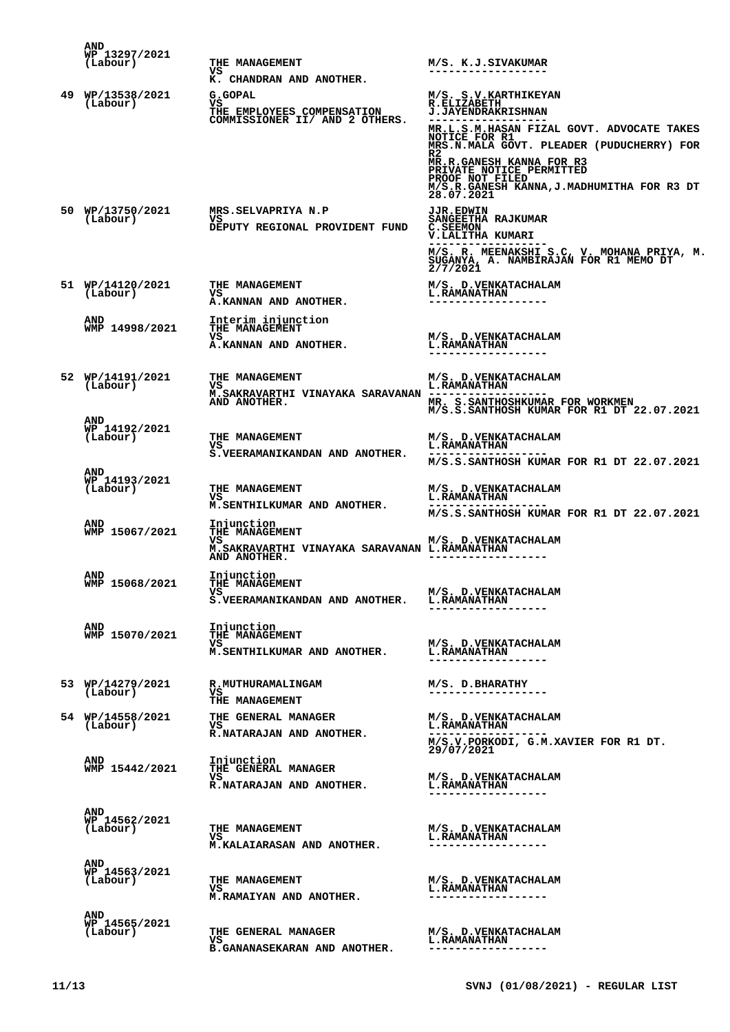| <b>AND</b><br>WP 13297/2021<br>(Labour) | THE MANAGEMENT<br>vs<br>K. CHANDRAN AND ANOTHER.                                                           | M/S. K.J.SIVAKUMAR                                                                                                                                                                                                                                                                                                        |
|-----------------------------------------|------------------------------------------------------------------------------------------------------------|---------------------------------------------------------------------------------------------------------------------------------------------------------------------------------------------------------------------------------------------------------------------------------------------------------------------------|
| 49 WP/13538/2021<br>(Labour)            | G.GOPAL<br>vs<br>THE EMPLOYEES COMPENSATION<br>COMMISSIONER II/ AND 2 OTHERS.                              | M/S. S.V. KARTHIKEYAN<br>R.ELIZABETH<br><b>J.JAYENDRAKRISHNAN</b><br>MR.L.S.M.HASAN FIZAL GOVT. ADVOCATE TAKES<br>NOTICE FOR R1<br>MRS.N.MALA GOVT. PLEADER (PUDUCHERRY) FOR<br>R2<br>MR.R.GANESH KANNA FOR R3<br>PRIVATE NOTICE PERMITTED<br>PROOF NOT FILED<br>M/S.R.GANESH KANNA, J.MADHUMITHA FOR R3 DT<br>28.07.2021 |
| 50 WP/13750/2021<br>(Labour)            | MRS.SELVAPRIYA N.P<br>VS<br>DEPUTY REGIONAL PROVIDENT FUND                                                 | <b>JJR.EDWIN</b><br>SANGEETHA RAJKUMAR<br><b>C.SEEMON</b><br>V.LALITHA KUMARI<br>M/S. R. MEENAKSHI S.C, V. MOHANA PRIYA, M.<br>SUGANYA, A. NAMBIRAJAN FOR R1 MEMO DT 2/7/2021                                                                                                                                             |
| 51 WP/14120/2021<br>(Labour)            | THE MANAGEMENT<br>vs<br>A.KANNAN AND ANOTHER.                                                              | M/S. D. VENKATACHALAM<br><b>L.RAMANATHAN</b><br>------------------                                                                                                                                                                                                                                                        |
| <b>AND</b><br>WMP 14998/2021            | Interim injunction<br>THE MANAGEMENT<br>vs<br>A.KANNAN AND ANOTHER.                                        | M/S. D. VENKATACHALAM<br><b>L.RAMANATHAN</b><br>------------------                                                                                                                                                                                                                                                        |
| 52 WP/14191/2021<br>(Labour)            | THE MANAGEMENT<br>vs<br>M.SAKRAVARTHI VINAYAKA SARAVANAN --------------<br>AND ANOTHER.                    | M/S. D. VENKATACHALAM<br><b>L.RAMANATHAN</b><br>MR. S.SANTHOSHKUMAR FOR WORKMEN<br>M/S.S.SANTHOSH KUMAR FOR R1 DT 22.07.2021                                                                                                                                                                                              |
| AND<br>WP 14192/2021<br>(Labour)        | THE MANAGEMENT<br>vs<br>S.VEERAMANIKANDAN AND ANOTHER.                                                     | M/S. D. VENKATACHALAM<br><b>L.RAMANATHAN</b><br>M/S.S.SANTHOSH KUMAR FOR R1 DT 22.07.2021                                                                                                                                                                                                                                 |
| <b>AND</b><br>WP 14193/2021<br>(Labour) | <b>THE MANAGEMENT</b><br>vs<br>M.SENTHILKUMAR AND ANOTHER.                                                 | M/S. D. VENKATACHALAM<br><b>L.RAMANATHAN</b><br>M/S.S.SANTHOSH KUMAR FOR R1 DT 22.07.2021                                                                                                                                                                                                                                 |
| <b>AND</b><br>WMP 15067/2021            | Injunction<br><b>THE MANAGEMENT</b><br>vs<br>M.SAKRAVARTHI VINAYAKA SARAVANAN L.RAMANATHAN<br>AND ANOTHER. | M/S. D. VENKATACHALAM                                                                                                                                                                                                                                                                                                     |
| <b>AND</b><br>WMP 15068/2021            | Injunction<br><b>THE MANAGEMENT</b><br>VS<br>S.VEERAMANIKANDAN AND ANOTHER.                                | M/S. D. VENKATACHALAM<br><b>L.RAMANATHAN</b>                                                                                                                                                                                                                                                                              |
| <b>AND</b><br>WMP 15070/2021            | Injunction<br>THE MANAGEMENT<br>vs<br>M.SENTHILKUMAR AND ANOTHER.                                          | M/S. D. VENKATACHALAM<br><b>L. RAMANATHAN</b>                                                                                                                                                                                                                                                                             |
| 53 WP/14279/2021<br>(Labour)            | R.MUTHURAMALINGAM<br>VS<br>THE MANAGEMENT                                                                  | M/S. D.BHARATHY<br>------------------                                                                                                                                                                                                                                                                                     |
| 54 WP/14558/2021<br>(Labour)            | THE GENERAL MANAGER<br>vs<br>R.NATARAJAN AND ANOTHER.                                                      | M/S. D. VENKATACHALAM<br><b>L.RAMANATHAN</b><br>M/S.V.PORKODI, G.M.XAVIER FOR R1 DT.<br>29/07/2021                                                                                                                                                                                                                        |
| AND<br>WMP 15442/2021                   | Injunction<br><b>THE GENERAL MANAGER</b><br>vs<br>R.NATARAJAN AND ANOTHER.                                 | M/S. D. VENKATACHALAM<br><b>L.RAMANATHAN</b>                                                                                                                                                                                                                                                                              |
| AND<br>WP 14562/2021<br>(Labour)        | THE MANAGEMENT<br>vs<br>M.KALAIARASAN AND ANOTHER.                                                         | M/S. D. VENKATACHALAM<br><b>L.RAMANATHAN</b><br>------------------                                                                                                                                                                                                                                                        |
| AND<br>WP 14563/2021<br>(Labour)        | THE MANAGEMENT<br>vs<br>M.RAMAIYAN AND ANOTHER.                                                            | M/S. D. VENKATACHALAM<br><b>L. RAMANATHAN</b><br>-------------------                                                                                                                                                                                                                                                      |
| AND<br>WP 14565/2021<br>(Labour)        | THE GENERAL MANAGER<br>vs<br><b>B.GANANASEKARAN AND ANOTHER.</b>                                           | M/S. D. VENKATACHALAM<br><b>L. RAMANATHAN</b><br>-----------------                                                                                                                                                                                                                                                        |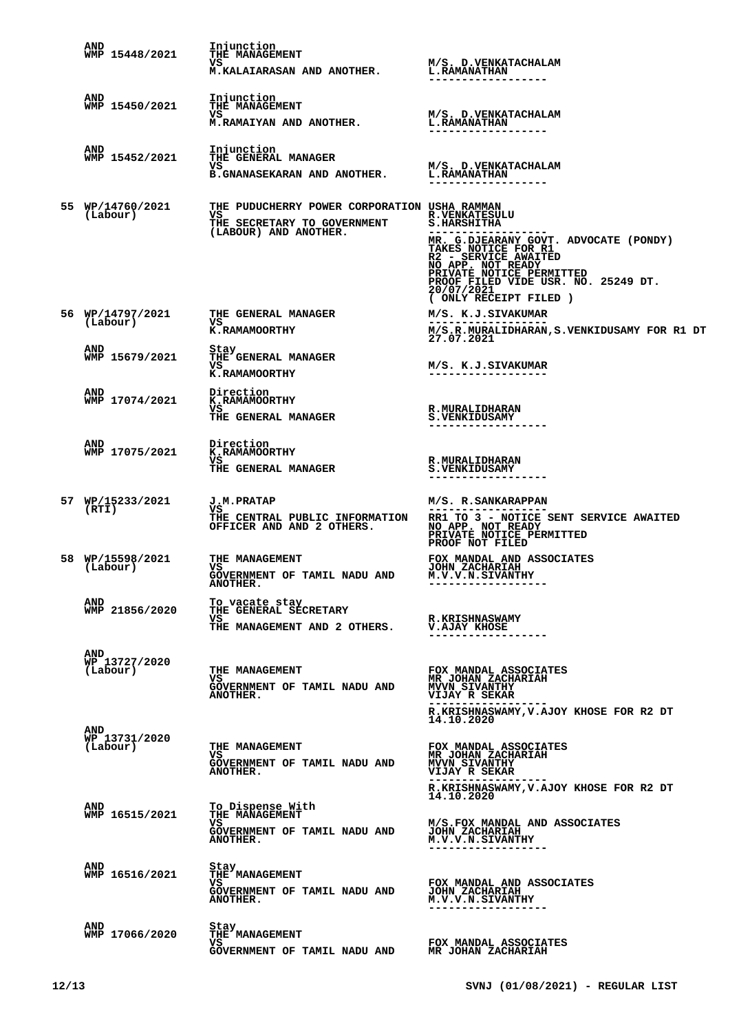| AND<br>WMP 15448/2021                   | Injunction<br>THE MANAGEMENT<br>VS<br><b>M.KALAIARASAN AND ANOTHER.</b>                                    | <b>M/S. D.VENKATACHALAM</b><br><b>L.RAMANATHAN</b>                                                                                                                                                                          |
|-----------------------------------------|------------------------------------------------------------------------------------------------------------|-----------------------------------------------------------------------------------------------------------------------------------------------------------------------------------------------------------------------------|
|                                         |                                                                                                            |                                                                                                                                                                                                                             |
| AND<br>WMP 15450/2021                   | Injunction<br><b>THE MANAGEMENT</b>                                                                        |                                                                                                                                                                                                                             |
|                                         | vs<br>M.RAMAIYAN AND ANOTHER.                                                                              | M/S. D.VENKATACHALAM<br><b>L.RAMANATHAN</b>                                                                                                                                                                                 |
| <b>AND</b><br>WMP 15452/2021            | Injunction<br>THE GENERAL MANAGER                                                                          |                                                                                                                                                                                                                             |
|                                         | VS<br><b>B.GNANASEKARAN AND ANOTHER.</b>                                                                   | M/S. D.VENKATACHALAM<br><b>L.RAMANATHAN</b>                                                                                                                                                                                 |
| 55 WP/14760/2021<br>(Labour)            | THE PUDUCHERRY POWER CORPORATION USHA RAMMAN<br>VS<br>THE SECRETARY TO GOVERNMENT<br>(LABOUR) AND ANOTHER. | <b>R. VENKATESULU</b><br><b>S.HARSHITHA</b><br>MR. G.DJEARANY GOVT. ADVOCATE (PONDY)<br>TAKES NOTICE FOR R1<br>R2 - SERVICE AWAITED<br>NO APP. NOT READY<br>PRIVATE NOTICE PERMITTED<br>PROOF FILED VIDE USR. NO. 25249 DT. |
|                                         |                                                                                                            | 20/07/2021<br>( ONLY RECEIPT FILED )                                                                                                                                                                                        |
| 56 WP/14797/2021<br>(Labour)            | <b>THE GENERAL MANAGER</b><br>vs<br>K.RAMAMOORTHY                                                          | M/S. K.J.SIVAKUMAR<br>M/S.R.MURALIDHARAN, S.VENKIDUSAMY FOR R1 DT<br>27.07.2021                                                                                                                                             |
| <b>AND</b><br>WMP 15679/2021            | Stay<br>THE GENERAL MANAGER<br>VS<br>K.RAMAMOORTHY                                                         | M/S. K.J.SIVAKUMAR<br>------------------                                                                                                                                                                                    |
| AND<br>WMP 17074/2021                   | Direction<br>K.RAMAMOORTHY<br>VS<br>THE GENERAL MANAGER                                                    | <b>R.MURALIDHARAN</b><br><b>S.VENKIDUSAMY</b>                                                                                                                                                                               |
| AND<br>WMP 17075/2021                   | Direction<br>K.RAMAMOORTHY<br>VS<br>THE GENERAL MANAGER                                                    | <b>R.MURALIDHARAN</b><br><b>S.VENKIDUSAMY</b>                                                                                                                                                                               |
| 57 WP/15233/2021<br>(RTI)               | <b>J.M.PRATAP</b><br>VS<br>THE CENTRAL PUBLIC INFORMATION<br>OFFICER AND AND 2 OTHERS.                     | M/S. R.SANKARAPPAN<br>RR1 TO 3 - NOTICE SENT SERVICE AWAITED<br>NO APP. NOT READY<br>PRIVATE NOTICE PERMITTED<br>PROOF NOT FILED                                                                                            |
| 58 WP/15598/2021<br>(Labour)            | THE MANAGEMENT<br>vs<br>GOVERNMENT OF TAMIL NADU AND<br>ANOTHER.                                           | FOX MANDAL AND ASSOCIATES<br><b>JOHN ZACHARIAH</b><br>M.V.V.N.SIVANTHY<br>------------------                                                                                                                                |
| AND<br>WMP 21856/2020                   | To vacate stay<br>THE GENERAL SECRETARY<br>vs<br>THE MANAGEMENT AND 2 OTHERS.                              | <b>R.KRISHNASWAMY</b><br>V.AJAY KHOSE                                                                                                                                                                                       |
| <b>AND</b><br>WP 13727/2020<br>(Labour) | THE MANAGEMENT<br>vs.<br>GOVERNMENT OF TAMIL NADU AND<br><b>ANOTHER.</b>                                   | FOX MANDAL ASSOCIATES<br><b>MR JOHAN ZACHARIAH</b><br>MVVN SIVANTHY<br><b>VIJAY R SEKAR</b>                                                                                                                                 |
| <b>AND</b><br>WP 13731/2020<br>(Labour) | THE MANAGEMENT<br>VS.<br>GOVERNMENT OF TAMIL NADU AND<br>ANOTHER.                                          | R.KRISHNASWAMY, V.AJOY KHOSE FOR R2 DT<br>14.10.2020<br>FOX MANDAL ASSOCIATES<br><b>MR JOHAN ZACHARIAH</b><br><b>MVVN SIVANTHY</b><br><b>VIJAY R SEKAR</b>                                                                  |
| AND<br>WMP 16515/2021                   | To Dispense With<br>THE MANAGEMENT<br>vs<br>GOVERNMENT OF TAMIL NADU AND<br>ANOTHER.                       | R.KRISHNASWAMY, V.AJOY KHOSE FOR R2 DT<br>14.10.2020<br>M/S.FOX MANDAL AND ASSOCIATES<br><b>JOHN ZACHARIAH</b><br>M.V.V.N.SIVANTHY                                                                                          |
| <b>AND</b><br>WMP 16516/2021            | Stay<br>THE MANAGEMENT<br>vs<br>GOVERNMENT OF TAMIL NADU AND<br>ANOTHER.                                   | ---------------<br>FOX MANDAL AND ASSOCIATES<br><b>JOHN ZACHARIAH</b><br>M.V.V.N.SIVANTHY<br>------------------                                                                                                             |
| <b>AND</b><br>WMP 17066/2020            | Stay<br>THE MANAGEMENT<br>vs.<br>GOVERNMENT OF TAMIL NADU AND                                              | FOX MANDAL ASSOCIATES<br>MR JOHAN ZACHARIAH                                                                                                                                                                                 |